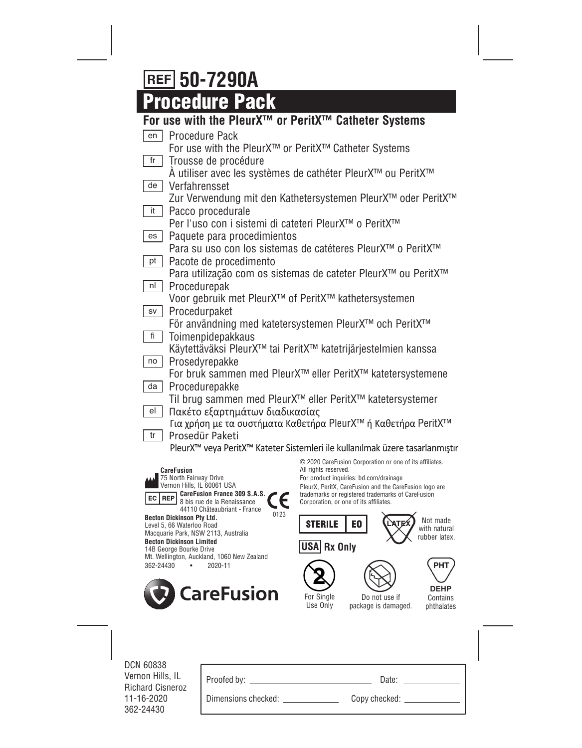# **50-7290A**

**Procedure Pack**

| For use with the PleurX <sup>™</sup> or PeritX™ Catheter Systems                  |                                                                                             |
|-----------------------------------------------------------------------------------|---------------------------------------------------------------------------------------------|
| <b>Procedure Pack</b><br>en                                                       |                                                                                             |
| For use with the PleurX <sup>™</sup> or PeritX <sup>™</sup> Catheter Systems      |                                                                                             |
| fr<br>Trousse de procédure                                                        |                                                                                             |
|                                                                                   | A utiliser avec les systèmes de cathéter PleurX™ ou PeritX™                                 |
| Verfahrensset<br>de                                                               |                                                                                             |
|                                                                                   | Zur Verwendung mit den Kathetersystemen PleurX™ oder PeritX™                                |
| Pacco procedurale<br>it                                                           |                                                                                             |
| Per l'uso con i sistemi di cateteri PleurX™ o PeritX™                             |                                                                                             |
| Paquete para procedimientos<br>es                                                 |                                                                                             |
|                                                                                   | Para su uso con los sistemas de catéteres PleurX™ o PeritX™                                 |
| Pacote de procedimento<br>pt                                                      |                                                                                             |
|                                                                                   | Para utilização com os sistemas de cateter PleurX™ ou PeritX™                               |
| Procedurepak<br>nl                                                                |                                                                                             |
| Voor gebruik met PleurX <sup>™</sup> of PeritX <sup>™</sup> kathetersystemen      |                                                                                             |
| Procedurpaket<br>SV                                                               |                                                                                             |
|                                                                                   | För användning med katetersystemen PleurX™ och PeritX™                                      |
| fi<br>Toimenpidepakkaus                                                           |                                                                                             |
| Prosedyrepakke<br>no                                                              | Käytettäväksi PleurX™ tai PeritX™ katetrijärjestelmien kanssa                               |
|                                                                                   | For bruk sammen med PleurX <sup>™</sup> eller PeritX™ katetersystemene                      |
| Procedurepakke<br>da                                                              |                                                                                             |
|                                                                                   | Til brug sammen med PleurX <sup>™</sup> eller PeritX™ katetersystemer                       |
| Πακέτο εξαρτημάτων διαδικασίας<br>el                                              |                                                                                             |
|                                                                                   | Για χρήση με τα συστήματα Καθετήρα PleurX™ ή Καθετήρα PeritX™                               |
| Prosedür Paketi<br>tr                                                             |                                                                                             |
|                                                                                   | PleurX <sup>™</sup> veya PeritX™ Kateter Sistemleri ile kullanılmak üzere tasarlanmıştır    |
|                                                                                   | © 2020 CareFusion Corporation or one of its affiliates.                                     |
| <b>CareFusion</b><br>75 North Fairway Drive                                       | All rights reserved.<br>For product inquiries: bd.com/drainage                              |
| Vernon Hills, IL 60061 USA                                                        | PleurX, PeritX, CareFusion and the CareFusion logo are                                      |
| CareFusion France 309 S.A.S.<br><b>REP</b><br>EC  <br>8 bis rue de la Renaissance | trademarks or registered trademarks of CareFusion<br>Corporation, or one of its affiliates. |
| 44110 Châteaubriant - France<br>0123                                              |                                                                                             |

**Becton Dickinson Pty Ltd.**

Level 5, 66 Waterloo Road Macquarie Park, NSW 2113, Australia **Becton Dickinson Limited** 14B George Bourke Drive Mt. Wellington, Auckland, 1060 New Zealand 362-24430 • 2020-11



Do not use if package is damaged.

**LATEX** 

**USA Rx Only**

E<sub>0</sub>

**STERILE** 

For Single Use Only

**2**

Contains phthalates **DEHP**

**PHT** 

Not made with natural rubber latex.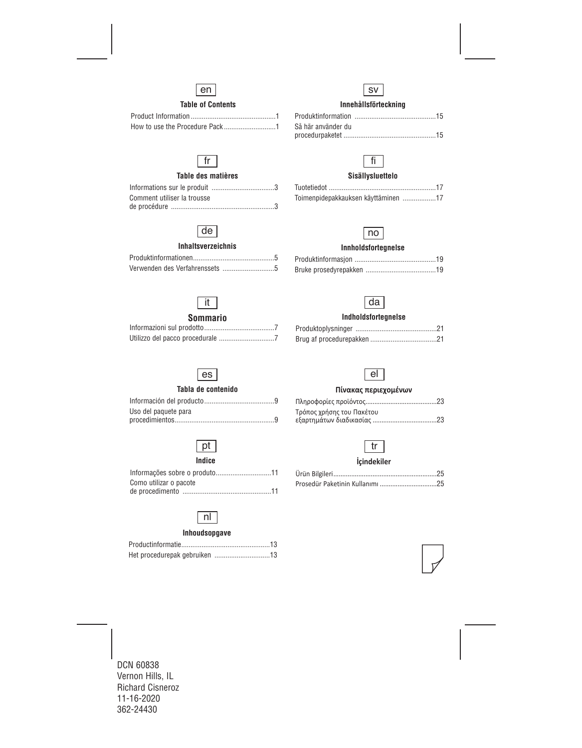

# **Table of Contents**

# fr

# **Table des matières**

| Comment utiliser la trousse |  |
|-----------------------------|--|
|                             |  |

# de

### **Inhaltsverzeichnis**

# **Innehållsförteckning**  sv

| Så här använder du |  |
|--------------------|--|
|                    |  |



# **Sisällysluettelo**

| Toimenpidepakkauksen käyttäminen 17 |  |
|-------------------------------------|--|



# **Innholdsfortegnelse**

# da

# **Indholdsfortegnelse**

# es

**Sommario**  Informazioni sul prodotto......................................7 Utilizzo del pacco procedurale ..............................7

it

# **Tabla de contenido**

| Uso del paquete para |  |
|----------------------|--|
|                      |  |

# $|pt|$

### **Índice**

| Como utilizar o pacote |
|------------------------|
|                        |

# nl

# **Inhoudsopgave**

# el

#### **Πίνακας περιεχομένων**

| Τρόπος χρήσης του Πακέτου |  |
|---------------------------|--|
|                           |  |

# tr

# **İçindekiler**

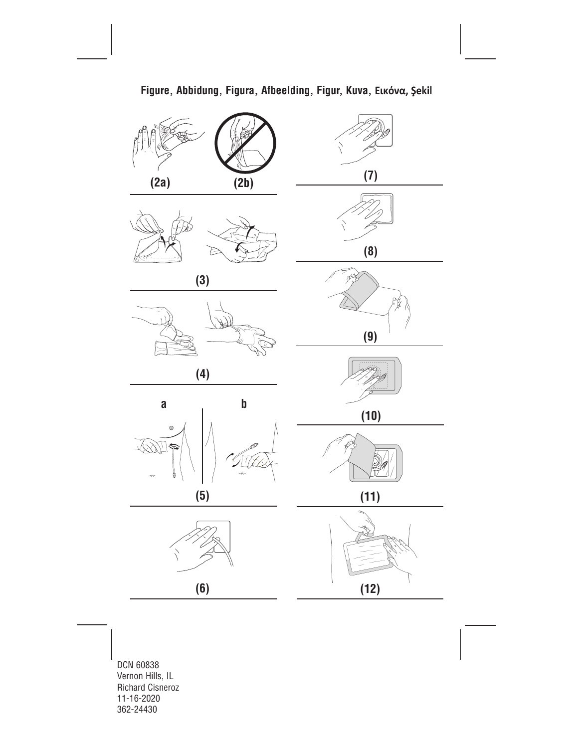

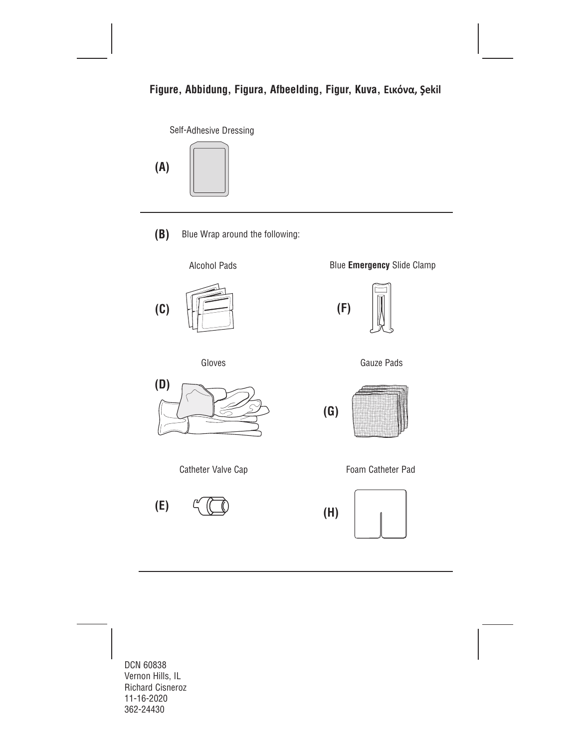

**(A)**



Blue Wrap around the following: **(B)**





Gloves



Catheter Valve Cap

**(E)**

Blue **Emergency** Slide Clamp









Foam Catheter Pad

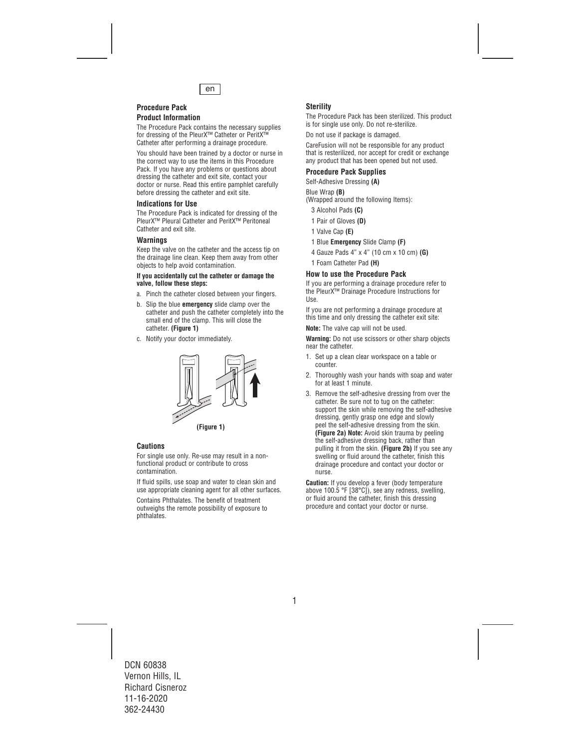

# **Procedure Pack**

### **Product Information**

The Procedure Pack contains the necessary supplies for dressing of the PleurX™ Catheter or PeritX™ Catheter after performing a drainage procedure.

You should have been trained by a doctor or nurse in the correct way to use the items in this Procedure Pack. If you have any problems or questions about dressing the catheter and exit site, contact your doctor or nurse. Read this entire pamphlet carefully before dressing the catheter and exit site.

### **Indications for Use**

The Procedure Pack is indicated for dressing of the PleurX™ Pleural Catheter and PeritX™ Peritoneal Catheter and exit site.

# **Warnings**

Keep the valve on the catheter and the access tip on the drainage line clean. Keep them away from other objects to help avoid contamination.

#### **If you accidentally cut the catheter or damage the valve, follow these steps:**

- a. Pinch the catheter closed between your fingers.
- b. Slip the blue **emergency** slide clamp over the catheter and push the catheter completely into the small end of the clamp. This will close the catheter. **(Figure 1)**
- c. Notify your doctor immediately.



**(Figure 1)**

# **Cautions**

For single use only. Re-use may result in a nonfunctional product or contribute to cross contamination.

If fluid spills, use soap and water to clean skin and use appropriate cleaning agent for all other surfaces.

Contains Phthalates. The benefit of treatment outweighs the remote possibility of exposure to phthalates.

# **Sterility**

The Procedure Pack has been sterilized. This product is for single use only. Do not re-sterilize.

Do not use if package is damaged.

CareFusion will not be responsible for any product that is resterilized, nor accept for credit or exchange any product that has been opened but not used.

### **Procedure Pack Supplies**

Self-Adhesive Dressing **(A)** 

#### Blue Wrap **(B)**

(Wrapped around the following Items):

- 3 Alcohol Pads **(C)**
- 1 Pair of Gloves **(D)**
- 1 Valve Cap **(E)**
- 1 Blue **Emergency** Slide Clamp **(F)**
- 4 Gauze Pads 4" x 4" (10 cm x 10 cm) **(G)**
- 1 Foam Catheter Pad **(H)**

# **How to use the Procedure Pack**

If you are performing a drainage procedure refer to the PleurX™ Drainage Procedure Instructions for Use.

If you are not performing a drainage procedure at this time and only dressing the catheter exit site:

**Note:** The valve cap will not be used.

**Warning:** Do not use scissors or other sharp objects near the catheter.

- 1. Set up a clean clear workspace on a table or counter.
- 2. Thoroughly wash your hands with soap and water for at least 1 minute.
- 3. Remove the self-adhesive dressing from over the catheter. Be sure not to tug on the catheter: support the skin while removing the self-adhesive dressing, gently grasp one edge and slowly peel the self-adhesive dressing from the skin. **(Figure 2a) Note:** Avoid skin trauma by peeling the self-adhesive dressing back, rather than pulling it from the skin. **(Figure 2b)** If you see any swelling or fluid around the catheter, finish this drainage procedure and contact your doctor or nurse.

**Caution:** If you develop a fever (body temperature above 100.5 °F [38°C]), see any redness, swelling, or fluid around the catheter, finish this dressing procedure and contact your doctor or nurse.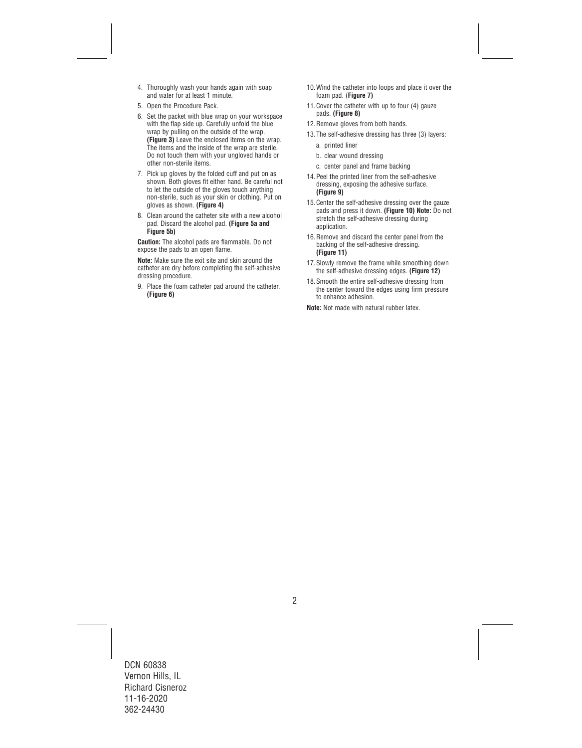- 4. Thoroughly wash your hands again with soap and water for at least 1 minute.
- 5. Open the Procedure Pack.
- 6. Set the packet with blue wrap on your workspace with the flap side up. Carefully unfold the blue wrap by pulling on the outside of the wrap. **(Figure 3)** Leave the enclosed items on the wrap. The items and the inside of the wrap are sterile. Do not touch them with your ungloved hands or other non-sterile items.
- 7. Pick up gloves by the folded cuff and put on as shown. Both gloves fit either hand. Be careful not to let the outside of the gloves touch anything non-sterile, such as your skin or clothing. Put on gloves as shown. **(Figure 4)**
- 8. Clean around the catheter site with a new alcohol pad. Discard the alcohol pad. **(Figure 5a and Figure 5b)**

**Caution:** The alcohol pads are flammable. Do not expose the pads to an open flame.

**Note:** Make sure the exit site and skin around the catheter are dry before completing the self-adhesive dressing procedure.

9. Place the foam catheter pad around the catheter. **(Figure 6)** 

- 10.Wind the catheter into loops and place it over the foam pad. (**Figure 7)**
- 11. Cover the catheter with up to four (4) gauze pads. **(Figure 8)**
- 12.Remove gloves from both hands.
- 13.The self-adhesive dressing has three (3) layers:
	- a. printed liner
	- b. clear wound dressing
	- c. center panel and frame backing
- 14.Peel the printed liner from the self-adhesive dressing, exposing the adhesive surface. **(Figure 9)**
- 15.Center the self-adhesive dressing over the gauze pads and press it down. **(Figure 10) Note:** Do not stretch the self-adhesive dressing during application.
- 16.Remove and discard the center panel from the backing of the self-adhesive dressing. **(Figure 11)**
- 17.Slowly remove the frame while smoothing down the self-adhesive dressing edges. **(Figure 12)**
- 18.Smooth the entire self-adhesive dressing from the center toward the edges using firm pressure to enhance adhesion.

**Note:** Not made with natural rubber latex.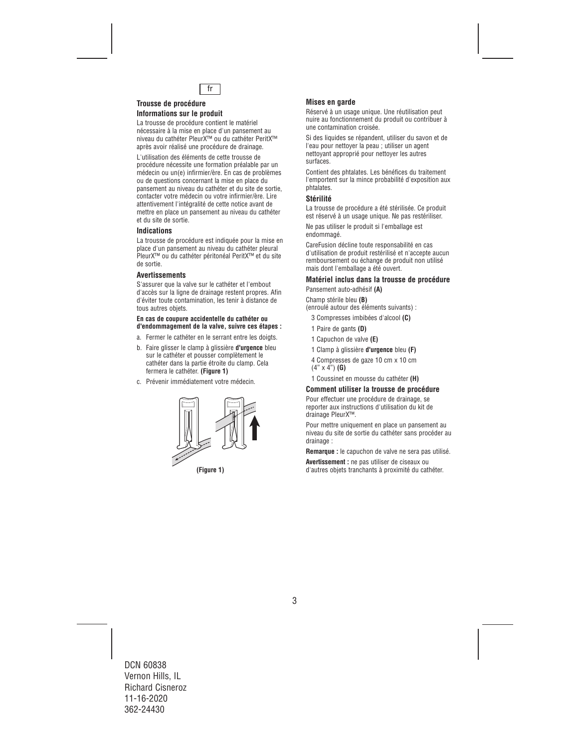

#### **Trousse de procédure Informations sur le produit**

La trousse de procédure contient le matériel nécessaire à la mise en place d'un pansement au niveau du cathéter PleurX™ ou du cathéter PeritX™ après avoir réalisé une procédure de drainage.

L'utilisation des éléments de cette trousse de procédure nécessite une formation préalable par un médecin ou un(e) infirmier/ère. En cas de problèmes ou de questions concernant la mise en place du pansement au niveau du cathéter et du site de sortie, contacter votre médecin ou votre infirmier/ère. Lire attentivement l'intégralité de cette notice avant de mettre en place un pansement au niveau du cathéter et du site de sortie.

# **Indications**

La trousse de procédure est indiquée pour la mise en place d'un pansement au niveau du cathéter pleural PleurX™ ou du cathéter péritonéal PeritX™ et du site de sortie.

#### **Avertissements**

S'assurer que la valve sur le cathéter et l'embout d'accès sur la ligne de drainage restent propres. Afin d'éviter toute contamination, les tenir à distance de tous autres objets.

#### **En cas de coupure accidentelle du cathéter ou d'endommagement de la valve, suivre ces étapes :**

- a. Fermer le cathéter en le serrant entre les doigts.
- b. Faire glisser le clamp à glissière **d'urgence** bleu sur le cathéter et pousser complètement le cathéter dans la partie étroite du clamp. Cela fermera le cathéter. **(Figure 1)**
- c. Prévenir immédiatement votre médecin.



# **Mises en garde**

Réservé à un usage unique. Une réutilisation peut nuire au fonctionnement du produit ou contribuer à une contamination croisée.

Si des liquides se répandent, utiliser du savon et de l'eau pour nettoyer la peau ; utiliser un agent nettoyant approprié pour nettoyer les autres surfaces.

Contient des phtalates. Les bénéfices du traitement l'emportent sur la mince probabilité d'exposition aux phtalates.

# **Stérilité**

La trousse de procédure a été stérilisée. Ce produit est réservé à un usage unique. Ne pas restériliser.

Ne pas utiliser le produit si l'emballage est endommagé.

CareFusion décline toute responsabilité en cas d'utilisation de produit restérilisé et n'accepte aucun remboursement ou échange de produit non utilisé mais dont l'emballage a été ouvert.

# **Matériel inclus dans la trousse de procédure**

Pansement auto-adhésif **(A)** 

Champ stérile bleu **(B)**  (enroulé autour des éléments suivants) :

- 3 Compresses imbibées d'alcool **(C)**
- 1 Paire de gants **(D)**
- 1 Capuchon de valve **(E)**
- 1 Clamp à glissière **d'urgence** bleu **(F)**
- 4 Compresses de gaze 10 cm x 10 cm (4" x 4") **(G)**
- 1 Coussinet en mousse du cathéter **(H)**

# **Comment utiliser la trousse de procédure**

Pour effectuer une procédure de drainage, se reporter aux instructions d'utilisation du kit de drainage PleurX™.

Pour mettre uniquement en place un pansement au niveau du site de sortie du cathéter sans procéder au drainage :

**Remarque :** le capuchon de valve ne sera pas utilisé.

**Avertissement :** ne pas utiliser de ciseaux ou **(Figure 1)** d'autres objets tranchants à proximité du cathéter.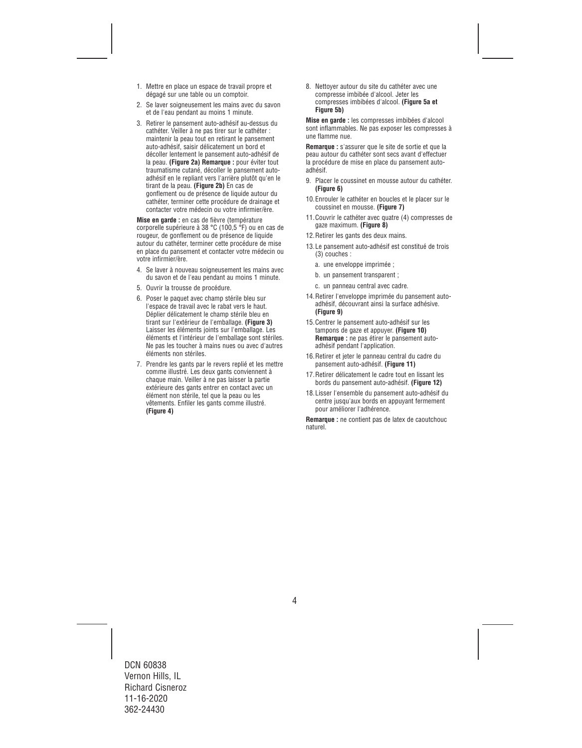- 1. Mettre en place un espace de travail propre et dégagé sur une table ou un comptoir.
- 2. Se laver soigneusement les mains avec du savon et de l'eau pendant au moins 1 minute.
- 3. Retirer le pansement auto-adhésif au-dessus du cathéter. Veiller à ne pas tirer sur le cathéter : maintenir la peau tout en retirant le pansement auto-adhésif, saisir délicatement un bord et décoller lentement le pansement auto-adhésif de la peau. **(Figure 2a) Remarque :** pour éviter tout traumatisme cutané, décoller le pansement autoadhésif en le repliant vers l'arrière plutôt qu'en le tirant de la peau. **(Figure 2b)** En cas de gonflement ou de présence de liquide autour du cathéter, terminer cette procédure de drainage et contacter votre médecin ou votre infirmier/ère.

**Mise en garde :** en cas de fièvre (température corporelle supérieure à 38 °C (100,5 °F) ou en cas de rougeur, de gonflement ou de présence de liquide autour du cathéter, terminer cette procédure de mise en place du pansement et contacter votre médecin ou votre infirmier/ère.

- 4. Se laver à nouveau soigneusement les mains avec du savon et de l'eau pendant au moins 1 minute.
- 5. Ouvrir la trousse de procédure.
- 6. Poser le paquet avec champ stérile bleu sur l'espace de travail avec le rabat vers le haut. Déplier délicatement le champ stérile bleu en tirant sur l'extérieur de l'emballage. **(Figure 3)**  Laisser les éléments joints sur l'emballage. Les éléments et l'intérieur de l'emballage sont stériles. Ne pas les toucher à mains nues ou avec d'autres éléments non stériles.
- 7. Prendre les gants par le revers replié et les mettre comme illustré. Les deux gants conviennent à chaque main. Veiller à ne pas laisser la partie extérieure des gants entrer en contact avec un élément non stérile, tel que la peau ou les vêtements. Enfiler les gants comme illustré. **(Figure 4)**

8. Nettoyer autour du site du cathéter avec une compresse imbibée d'alcool. Jeter les compresses imbibées d'alcool. **(Figure 5a et Figure 5b)** 

**Mise en garde :** les compresses imbibées d'alcool sont inflammables. Ne pas exposer les compresses à une flamme nue.

**Remarque :** s'assurer que le site de sortie et que la peau autour du cathéter sont secs avant d'effectuer la procédure de mise en place du pansement autoadhésif.

- 9. Placer le coussinet en mousse autour du cathéter. **(Figure 6)**
- 10.Enrouler le cathéter en boucles et le placer sur le coussinet en mousse. **(Figure 7)**
- 11.Couvrir le cathéter avec quatre (4) compresses de gaze maximum. **(Figure 8)**
- 12.Retirer les gants des deux mains.
- 13.Le pansement auto-adhésif est constitué de trois (3) couches :
	- a. une enveloppe imprimée ;
	- b. un pansement transparent ;
	- c. un panneau central avec cadre.
- 14.Retirer l'enveloppe imprimée du pansement autoadhésif, découvrant ainsi la surface adhésive. **(Figure 9)**
- 15.Centrer le pansement auto-adhésif sur les tampons de gaze et appuyer. **(Figure 10) Remarque :** ne pas étirer le pansement autoadhésif pendant l'application.
- 16.Retirer et jeter le panneau central du cadre du pansement auto-adhésif. **(Figure 11)**
- 17.Retirer délicatement le cadre tout en lissant les bords du pansement auto-adhésif. **(Figure 12)**
- 18.Lisser l'ensemble du pansement auto-adhésif du centre jusqu'aux bords en appuyant fermement pour améliorer l'adhérence.

**Remarque :** ne contient pas de latex de caoutchouc naturel.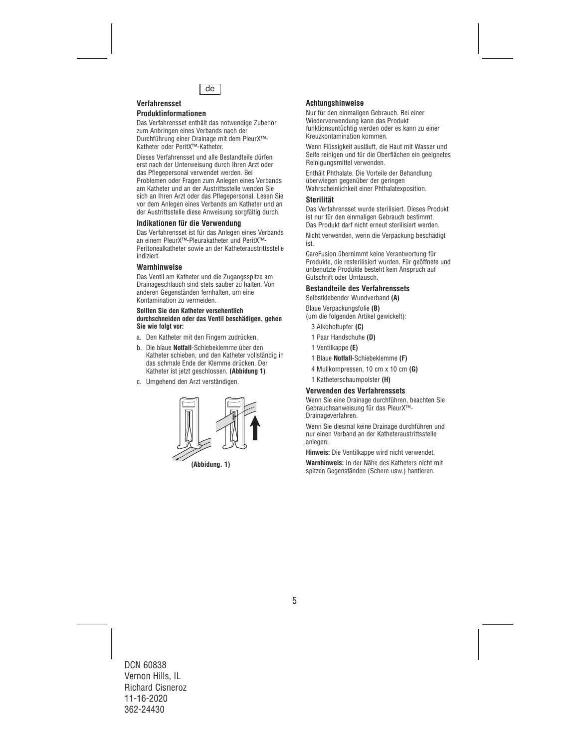

# **Verfahrensset**

# **Produktinformationen**

Das Verfahrensset enthält das notwendige Zubehör zum Anbringen eines Verbands nach der Durchführung einer Drainage mit dem PleurX™- Katheter oder PeritX™-Katheter.

Dieses Verfahrensset und alle Bestandteile dürfen erst nach der Unterweisung durch Ihren Arzt oder das Pflegepersonal verwendet werden. Bei Problemen oder Fragen zum Anlegen eines Verbands am Katheter und an der Austrittsstelle wenden Sie sich an Ihren Arzt oder das Pflegepersonal. Lesen Sie vor dem Anlegen eines Verbands am Katheter und an der Austrittsstelle diese Anweisung sorgfältig durch.

### **Indikationen für die Verwendung**

Das Verfahrensset ist für das Anlegen eines Verbands an einem PleurX™-Pleurakatheter und PeritX™- Peritonealkatheter sowie an der Katheteraustrittsstelle indiziert.

#### **Warnhinweise**

Das Ventil am Katheter und die Zugangsspitze am Drainageschlauch sind stets sauber zu halten. Von anderen Gegenständen fernhalten, um eine Kontamination zu vermeiden.

#### **Sollten Sie den Katheter versehentlich durchschneiden oder das Ventil beschädigen, gehen Sie wie folgt vor:**

- a. Den Katheter mit den Fingern zudrücken.
- b. Die blaue **Notfall**-Schiebeklemme über den Katheter schieben, und den Katheter vollständig in das schmale Ende der Klemme drücken. Der Katheter ist jetzt geschlossen. **(Abbidung 1)**
- c. Umgehend den Arzt verständigen.



**(Abbidung. 1)**

# **Achtungshinweise**

Nur für den einmaligen Gebrauch. Bei einer Wiederverwendung kann das Produkt funktionsuntüchtig werden oder es kann zu einer Kreuzkontamination kommen.

Wenn Flüssigkeit ausläuft, die Haut mit Wasser und Seife reinigen und für die Oberflächen ein geeignetes Reinigungsmittel verwenden.

Enthält Phthalate. Die Vorteile der Behandlung überwiegen gegenüber der geringen Wahrscheinlichkeit einer Phthalatexposition.

### **Sterilität**

Das Verfahrensset wurde sterilisiert. Dieses Produkt ist nur für den einmaligen Gebrauch bestimmt. Das Produkt darf nicht erneut sterilisiert werden.

Nicht verwenden, wenn die Verpackung beschädigt ist.

CareFusion übernimmt keine Verantwortung für Produkte, die resterilisiert wurden. Für geöffnete und unbenutzte Produkte besteht kein Anspruch auf Gutschrift oder Umtausch.

# **Bestandteile des Verfahrenssets**

Selbstklebender Wundverband **(A)** 

Blaue Verpackungsfolie **(B)**  (um die folgenden Artikel gewickelt):

- 3 Alkoholtupfer **(C)**
- 1 Paar Handschuhe **(D)**
- 1 Ventilkappe **(E)**
- 1 Blaue **Notfall**-Schiebeklemme **(F)**
- 4 Mullkompressen, 10 cm x 10 cm **(G)**
- 1 Katheterschaumpolster **(H)**

# **Verwenden des Verfahrenssets**

Wenn Sie eine Drainage durchführen, beachten Sie Gebrauchsanweisung für das PleurX™- Drainageverfahren.

Wenn Sie diesmal keine Drainage durchführen und nur einen Verband an der Katheteraustrittsstelle anlegen:

**Hinweis:** Die Ventilkappe wird nicht verwendet.

**Warnhinweis:** In der Nähe des Katheters nicht mit spitzen Gegenständen (Schere usw.) hantieren.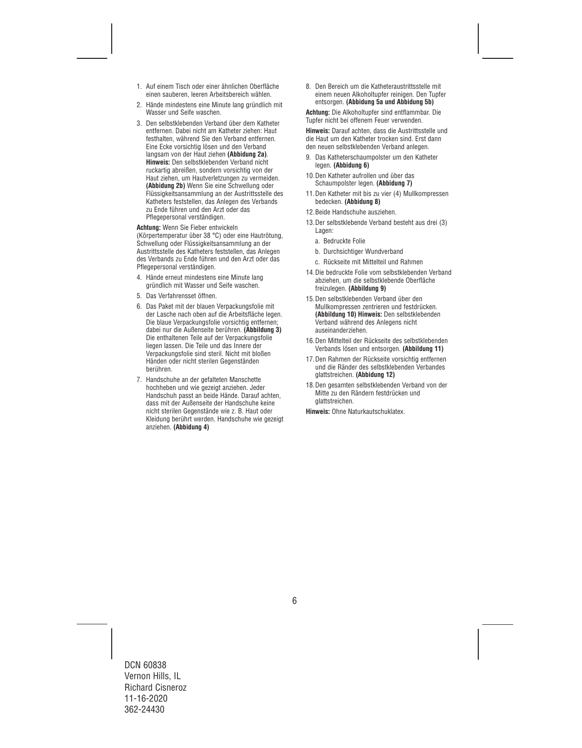- 1. Auf einem Tisch oder einer ähnlichen Oberfläche einen sauberen, leeren Arbeitsbereich wählen.
- 2. Hände mindestens eine Minute lang gründlich mit Wasser und Seife waschen.
- 3. Den selbstklebenden Verband über dem Katheter entfernen. Dabei nicht am Katheter ziehen: Haut festhalten, während Sie den Verband entfernen. Eine Ecke vorsichtig lösen und den Verband langsam von der Haut ziehen **(Abbidung 2a)**. **Hinweis:** Den selbstklebenden Verband nicht ruckartig abreißen, sondern vorsichtig von der Haut ziehen, um Hautverletzungen zu vermeiden. **(Abbidung 2b)** Wenn Sie eine Schwellung oder Flüssigkeitsansammlung an der Austrittsstelle des Katheters feststellen, das Anlegen des Verbands zu Ende führen und den Arzt oder das Pflegepersonal verständigen.

**Achtung:** Wenn Sie Fieber entwickeln (Körpertemperatur über 38 °C) oder eine Hautrötung, Schwellung oder Flüssigkeitsansammlung an der Austrittsstelle des Katheters feststellen, das Anlegen des Verbands zu Ende führen und den Arzt oder das Pflegepersonal verständigen.

- 4. Hände erneut mindestens eine Minute lang gründlich mit Wasser und Seife waschen.
- 5. Das Verfahrensset öffnen.
- 6. Das Paket mit der blauen Verpackungsfolie mit der Lasche nach oben auf die Arbeitsfläche legen. Die blaue Verpackungsfolie vorsichtig entfernen; dabei nur die Außenseite berühren. **(Abbildung 3)**  Die enthaltenen Teile auf der Verpackungsfolie liegen lassen. Die Teile und das Innere der Verpackungsfolie sind steril. Nicht mit bloßen Händen oder nicht sterilen Gegenständen berühren.
- 7. Handschuhe an der gefalteten Manschette hochheben und wie gezeigt anziehen. Jeder Handschuh passt an beide Hände. Darauf achten, dass mit der Außenseite der Handschuhe keine nicht sterilen Gegenstände wie z. B. Haut oder Kleidung berührt werden. Handschuhe wie gezeigt anziehen. **(Abbidung 4)**

8. Den Bereich um die Katheteraustrittsstelle mit einem neuen Alkoholtupfer reinigen. Den Tupfer entsorgen. **(Abbidung 5a und Abbidung 5b)** 

**Achtung:** Die Alkoholtupfer sind entflammbar. Die Tupfer nicht bei offenem Feuer verwenden.

**Hinweis:** Darauf achten, dass die Austrittsstelle und die Haut um den Katheter trocken sind. Erst dann den neuen selbstklebenden Verband anlegen.

- 9. Das Katheterschaumpolster um den Katheter legen. **(Abbidung 6)**
- 10.Den Katheter aufrollen und über das Schaumpolster legen. **(Abbidung 7)**
- 11.Den Katheter mit bis zu vier (4) Mullkompressen bedecken. **(Abbidung 8)**
- 12.Beide Handschuhe ausziehen.
- 13.Der selbstklebende Verband besteht aus drei (3) Lagen:
	- a. Bedruckte Folie
	- b. Durchsichtiger Wundverband
	- c. Rückseite mit Mittelteil und Rahmen
- 14.Die bedruckte Folie vom selbstklebenden Verband abziehen, um die selbstklebende Oberfläche freizulegen. **(Abbildung 9)**
- 15.Den selbstklebenden Verband über den Mullkompressen zentrieren und festdrücken. **(Abbildung 10) Hinweis:** Den selbstklebenden Verband während des Anlegens nicht auseinanderziehen.
- 16.Den Mittelteil der Rückseite des selbstklebenden Verbands lösen und entsorgen. **(Abbildung 11)**
- 17.Den Rahmen der Rückseite vorsichtig entfernen und die Ränder des selbstklebenden Verbandes glattstreichen. **(Abbidung 12)**
- 18.Den gesamten selbstklebenden Verband von der Mitte zu den Rändern festdrücken und glattstreichen.

**Hinweis:** Ohne Naturkautschuklatex.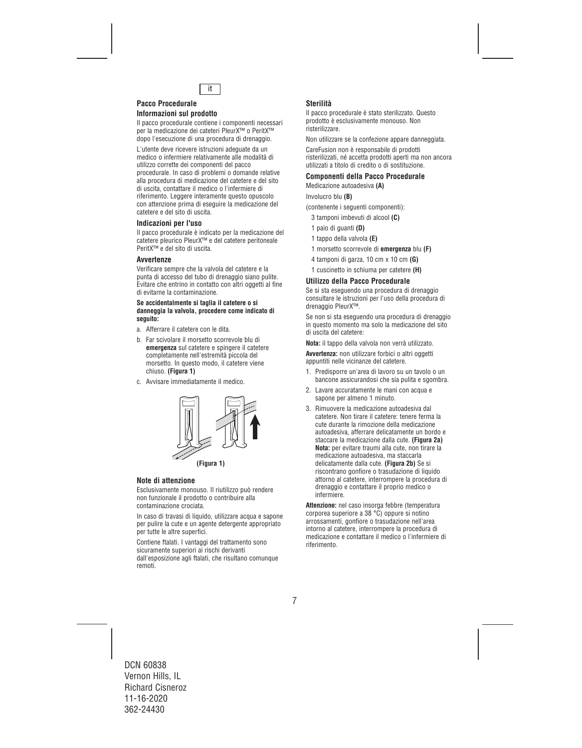

#### **Pacco Procedurale Informazioni sul prodotto**

Il pacco procedurale contiene i componenti necessari per la medicazione dei cateteri PleurX™ o PeritX™ dopo l'esecuzione di una procedura di drenaggio.

L'utente deve ricevere istruzioni adeguate da un medico o infermiere relativamente alle modalità di utilizzo corrette dei componenti del pacco procedurale. In caso di problemi o domande relative alla procedura di medicazione del catetere e del sito di uscita, contattare il medico o l'infermiere di riferimento. Leggere interamente questo opuscolo con attenzione prima di eseguire la medicazione del catetere e del sito di uscita.

#### **Indicazioni per l'uso**

Il pacco procedurale è indicato per la medicazione del catetere pleurico PleurX™ e del catetere peritoneale PeritX™ e del sito di uscita.

### **Avvertenze**

Verificare sempre che la valvola del catetere e la punta di accesso del tubo di drenaggio siano pulite. Evitare che entrino in contatto con altri oggetti al fine di evitarne la contaminazione.

#### **Se accidentalmente si taglia il catetere o si danneggia la valvola, procedere come indicato di seguito:**

- a. Afferrare il catetere con le dita.
- b. Far scivolare il morsetto scorrevole blu di **emergenza** sul catetere e spingere il catetere completamente nell'estremità piccola del morsetto. In questo modo, il catetere viene chiuso. **(Figura 1)**
- c. Avvisare immediatamente il medico.



**(Figura 1)**

# **Note di attenzione**

Esclusivamente monouso. Il riutilizzo può rendere non funzionale il prodotto o contribuire alla contaminazione crociata.

In caso di travasi di liquido, utilizzare acqua e sapone per pulire la cute e un agente detergente appropriato per tutte le altre superfici.

Contiene ftalati. I vantaggi del trattamento sono sicuramente superiori ai rischi derivanti dall'esposizione agli ftalati, che risultano comunque remoti.

# **Sterilità**

Il pacco procedurale è stato sterilizzato. Questo prodotto è esclusivamente monouso. Non risterilizzare.

Non utilizzare se la confezione appare danneggiata.

CareFusion non è responsabile di prodotti risterilizzati, né accetta prodotti aperti ma non ancora utilizzati a titolo di credito o di sostituzione.

#### **Componenti della Pacco Procedurale**

Medicazione autoadesiva **(A)** 

Involucro blu **(B)**

(contenente i seguenti componenti):

- 3 tamponi imbevuti di alcool **(C)**
- 1 paio di guanti **(D)**
- 1 tappo della valvola **(E)**
- 1 morsetto scorrevole di **emergenza** blu **(F)**
- 4 tamponi di garza, 10 cm x 10 cm **(G)**
- 1 cuscinetto in schiuma per catetere **(H)**

#### **Utilizzo della Pacco Procedurale**

Se si sta eseguendo una procedura di drenaggio consultare le istruzioni per l'uso della procedura di drenaggio PleurX™.

Se non si sta eseguendo una procedura di drenaggio in questo momento ma solo la medicazione del sito di uscita del catetere:

**Nota:** il tappo della valvola non verrà utilizzato.

**Avvertenza:** non utilizzare forbici o altri oggetti appuntiti nelle vicinanze del catetere.

- 1. Predisporre un'area di lavoro su un tavolo o un bancone assicurandosi che sia pulita e sgombra.
- 2. Lavare accuratamente le mani con acqua e sapone per almeno 1 minuto.
- 3. Rimuovere la medicazione autoadesiva dal catetere. Non tirare il catetere: tenere ferma la cute durante la rimozione della medicazione autoadesiva, afferrare delicatamente un bordo e staccare la medicazione dalla cute. **(Figura 2a) Nota:** per evitare traumi alla cute, non tirare la medicazione autoadesiva, ma staccarla delicatamente dalla cute. **(Figura 2b)** Se si riscontrano gonfiore o trasudazione di liquido attorno al catetere, interrompere la procedura di drenaggio e contattare il proprio medico o infermiere.

**Attenzione:** nel caso insorga febbre (temperatura corporea superiore a 38 °C) oppure si notino arrossamenti, gonfiore o trasudazione nell'area intorno al catetere, interrompere la procedura di medicazione e contattare il medico o l'infermiere di riferimento.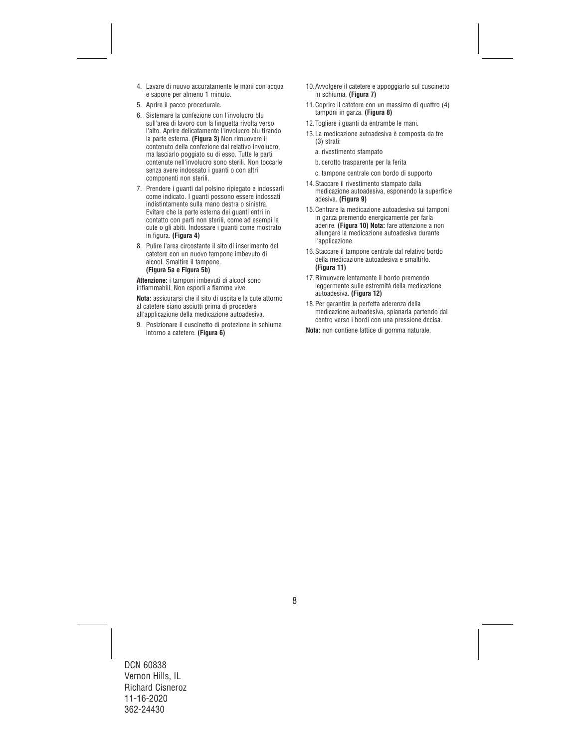- 4. Lavare di nuovo accuratamente le mani con acqua e sapone per almeno 1 minuto.
- 5. Aprire il pacco procedurale.
- 6. Sistemare la confezione con l'involucro blu sull'area di lavoro con la linguetta rivolta verso l'alto. Aprire delicatamente l'involucro blu tirando la parte esterna. **(Figura 3)** Non rimuovere il contenuto della confezione dal relativo involucro, ma lasciarlo poggiato su di esso. Tutte le parti contenute nell'involucro sono sterili. Non toccarle senza avere indossato i quanti o con altri componenti non sterili.
- 7. Prendere i guanti dal polsino ripiegato e indossarli come indicato. I guanti possono essere indossati indistintamente sulla mano destra o sinistra. Evitare che la parte esterna dei guanti entri in contatto con parti non sterili, come ad esempi la cute o gli abiti. Indossare i guanti come mostrato in figura. **(Figura 4)**
- 8. Pulire l'area circostante il sito di inserimento del catetere con un nuovo tampone imbevuto di alcool. Smaltire il tampone. **(Figura 5a e Figura 5b)**

**Attenzione:** i tamponi imbevuti di alcool sono infiammabili. Non esporli a fiamme vive.

**Nota:** assicurarsi che il sito di uscita e la cute attorno al catetere siano asciutti prima di procedere all'applicazione della medicazione autoadesiva.

9. Posizionare il cuscinetto di protezione in schiuma intorno a catetere. **(Figura 6)**

- 10.Avvolgere il catetere e appoggiarlo sul cuscinetto in schiuma. **(Figura 7)**
- 11.Coprire il catetere con un massimo di quattro (4) tamponi in garza. **(Figura 8)**
- 12.Togliere i guanti da entrambe le mani.
- 13.La medicazione autoadesiva è composta da tre (3) strati:
	- a. rivestimento stampato
	- b. cerotto trasparente per la ferita
	- c. tampone centrale con bordo di supporto
- 14.Staccare il rivestimento stampato dalla medicazione autoadesiva, esponendo la superficie adesiva. **(Figura 9)**
- 15.Centrare la medicazione autoadesiva sui tamponi in garza premendo energicamente per farla aderire. **(Figura 10) Nota:** fare attenzione a non allungare la medicazione autoadesiva durante l'applicazione.
- 16.Staccare il tampone centrale dal relativo bordo della medicazione autoadesiva e smaltirlo. **(Figura 11)**
- 17.Rimuovere lentamente il bordo premendo leggermente sulle estremità della medicazione autoadesiva. **(Figura 12)**
- 18.Per garantire la perfetta aderenza della medicazione autoadesiva, spianarla partendo dal centro verso i bordi con una pressione decisa.
- **Nota:** non contiene lattice di gomma naturale.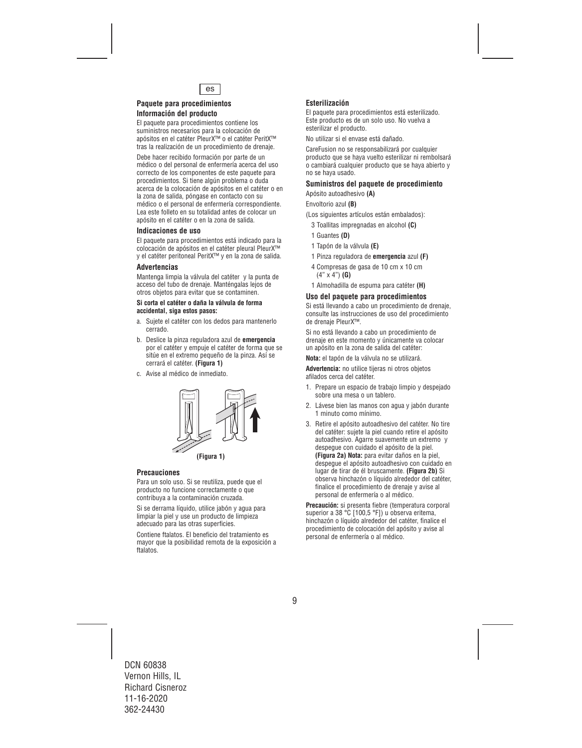

# **Paquete para procedimientos Información del producto**

El paquete para procedimientos contiene los suministros necesarios para la colocación de apósitos en el catéter PleurX™ o el catéter PeritX™ tras la realización de un procedimiento de drenaje.

Debe hacer recibido formación por parte de un médico o del personal de enfermería acerca del uso correcto de los componentes de este paquete para procedimientos. Si tiene algún problema o duda acerca de la colocación de apósitos en el catéter o en la zona de salida, póngase en contacto con su médico o el personal de enfermería correspondiente. Lea este folleto en su totalidad antes de colocar un apósito en el catéter o en la zona de salida.

# **Indicaciones de uso**

El paquete para procedimientos está indicado para la colocación de apósitos en el catéter pleural PleurX™ y el catéter peritoneal PeritX™ y en la zona de salida.

### **Advertencias**

Mantenga limpia la válvula del catéter y la punta de acceso del tubo de drenaje. Manténgalas lejos de otros objetos para evitar que se contaminen.

#### **Si corta el catéter o daña la válvula de forma accidental, siga estos pasos:**

- a. Sujete el catéter con los dedos para mantenerlo cerrado.
- b. Deslice la pinza reguladora azul de **emergencia** por el catéter y empuje el catéter de forma que se sitúe en el extremo pequeño de la pinza. Así se cerrará el catéter. **(Figura 1)**
- c. Avise al médico de inmediato.



# **Precauciones**

Para un solo uso. Si se reutiliza, puede que el producto no funcione correctamente o que contribuya a la contaminación cruzada.

Si se derrama líquido, utilice jabón y agua para limpiar la piel y use un producto de limpieza adecuado para las otras superficies.

Contiene ftalatos. El beneficio del tratamiento es mayor que la posibilidad remota de la exposición a ftalatos.

# **Esterilización**

El paquete para procedimientos está esterilizado. Este producto es de un solo uso. No vuelva a esterilizar el producto.

No utilizar si el envase está dañado.

CareFusion no se responsabilizará por cualquier producto que se haya vuelto esterilizar ni rembolsará o cambiará cualquier producto que se haya abierto y no se haya usado.

# **Suministros del paquete de procedimiento**

Apósito autoadhesivo **(A)** 

Envoltorio azul **(B)**

(Los siguientes artículos están embalados):

- 3 Toallitas impregnadas en alcohol **(C)**
- 1 Guantes **(D)**
- 1 Tapón de la válvula **(E)**
- 1 Pinza reguladora de **emergencia** azul **(F)**
- 4 Compresas de gasa de 10 cm x 10 cm (4" x 4") **(G)**
- 1 Almohadilla de espuma para catéter **(H)**

#### **Uso del paquete para procedimientos**

Si está llevando a cabo un procedimiento de drenaje, consulte las instrucciones de uso del procedimiento de drenaje PleurX™.

Si no está llevando a cabo un procedimiento de drenaje en este momento y únicamente va colocar un apósito en la zona de salida del catéter:

**Nota:** el tapón de la válvula no se utilizará.

**Advertencia:** no utilice tijeras ni otros objetos afilados cerca del catéter.

- 1. Prepare un espacio de trabajo limpio y despejado sobre una mesa o un tablero.
- 2. Lávese bien las manos con agua y jabón durante 1 minuto como mínimo.
- 3. Retire el apósito autoadhesivo del catéter. No tire del catéter: sujete la piel cuando retire el apósito autoadhesivo. Agarre suavemente un extremo y despegue con cuidado el apósito de la piel. **(Figura 2a) Nota:** para evitar daños en la piel, despegue el apósito autoadhesivo con cuidado en lugar de tirar de él bruscamente. **(Figura 2b)** Si observa hinchazón o líquido alrededor del catéter, finalice el procedimiento de drenaje y avise al personal de enfermería o al médico.

**Precaución:** si presenta fiebre (temperatura corporal superior a 38 °C [100,5 °F]) u observa eritema, hinchazón o líquido alrededor del catéter, finalice el procedimiento de colocación del apósito y avise al personal de enfermería o al médico.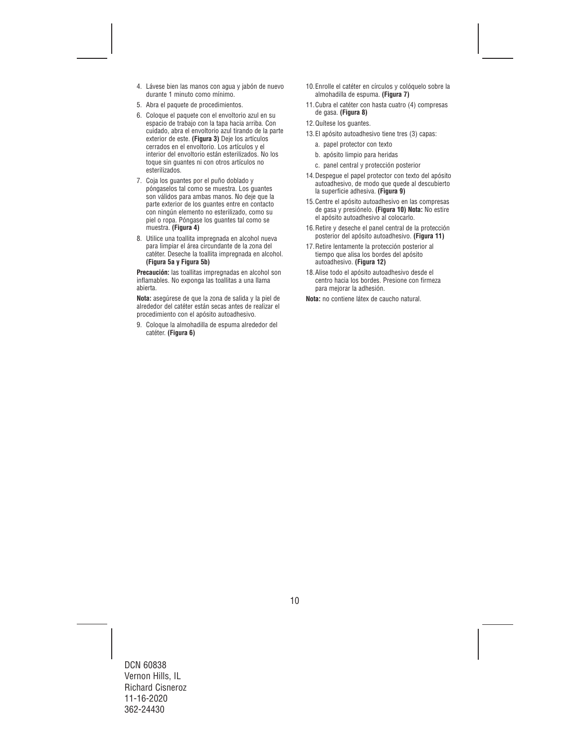- 4. Lávese bien las manos con agua y jabón de nuevo durante 1 minuto como mínimo.
- 5. Abra el paquete de procedimientos.
- 6. Coloque el paquete con el envoltorio azul en su espacio de trabajo con la tapa hacia arriba. Con cuidado, abra el envoltorio azul tirando de la parte exterior de este. **(Figura 3)** Deje los artículos cerrados en el envoltorio. Los artículos y el interior del envoltorio están esterilizados. No los toque sin guantes ni con otros artículos no esterilizados.
- 7. Coja los guantes por el puño doblado y póngaselos tal como se muestra. Los guantes son válidos para ambas manos. No deje que la parte exterior de los guantes entre en contacto con ningún elemento no esterilizado, como su piel o ropa. Póngase los guantes tal como se muestra. **(Figura 4)**
- 8. Utilice una toallita impregnada en alcohol nueva para limpiar el área circundante de la zona del catéter. Deseche la toallita impregnada en alcohol. **(Figura 5a y Figura 5b)**

**Precaución:** las toallitas impregnadas en alcohol son inflamables. No exponga las toallitas a una llama abierta.

**Nota:** asegúrese de que la zona de salida y la piel de alrededor del catéter están secas antes de realizar el procedimiento con el apósito autoadhesivo.

9. Coloque la almohadilla de espuma alrededor del catéter. **(Figura 6)**

- 10.Enrolle el catéter en círculos y colóquelo sobre la almohadilla de espuma. **(Figura 7)**
- 11.Cubra el catéter con hasta cuatro (4) compresas de gasa. **(Figura 8)**
- 12.Quítese los guantes.
- 13.El apósito autoadhesivo tiene tres (3) capas:
	- a. papel protector con texto
	- b. apósito limpio para heridas
	- c. panel central y protección posterior
- 14.Despegue el papel protector con texto del apósito autoadhesivo, de modo que quede al descubierto la superficie adhesiva. **(Figura 9)**
- 15.Centre el apósito autoadhesivo en las compresas de gasa y presiónelo. **(Figura 10) Nota:** No estire el apósito autoadhesivo al colocarlo.
- 16.Retire y deseche el panel central de la protección posterior del apósito autoadhesivo. **(Figura 11)**
- 17.Retire lentamente la protección posterior al tiempo que alisa los bordes del apósito autoadhesivo. **(Figura 12)**
- 18.Alise todo el apósito autoadhesivo desde el centro hacia los bordes. Presione con firmeza para mejorar la adhesión.

**Nota:** no contiene látex de caucho natural.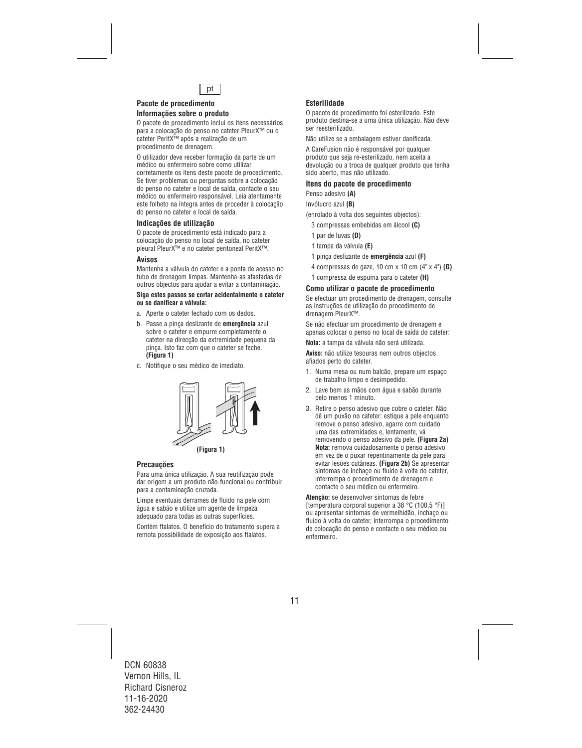

# **Pacote de procedimento**

# **Informações sobre o produto**

O pacote de procedimento inclui os itens necessários para a colocação do penso no cateter PleurX™ ou o cateter PeritX™ após a realização de um procedimento de drenagem.

O utilizador deve receber formação da parte de um médico ou enfermeiro sobre como utilizar corretamente os itens deste pacote de procedimento. Se tiver problemas ou perguntas sobre a colocação do penso no cateter e local de saída, contacte o seu médico ou enfermeiro responsável. Leia atentamente este folheto na íntegra antes de proceder à colocação do penso no cateter e local de saída.

### **Indicações de utilização**

O pacote de procedimento está indicado para a colocação do penso no local de saída, no cateter pleural PleurX™ e no cateter peritoneal PeritX™.

#### **Avisos**

Mantenha a válvula do cateter e a ponta de acesso no tubo de drenagem limpas. Mantenha-as afastadas de outros objectos para ajudar a evitar a contaminação.

#### **Siga estes passos se cortar acidentalmente o cateter ou se danificar a válvula:**

- a. Aperte o cateter fechado com os dedos.
- b. Passe a pinça deslizante de **emergência** azul sobre o cateter e empurre completamente o cateter na direcção da extremidade pequena da pinça. Isto faz com que o cateter se feche. **(Figura 1)**
- c. Notifique o seu médico de imediato.



**(Figura 1)**

# **Precauções**

Para uma única utilização. A sua reutilização pode dar origem a um produto não-funcional ou contribuir para a contaminação cruzada.

Limpe eventuais derrames de fluido na pele com água e sabão e utilize um agente de limpeza adequado para todas as outras superfícies.

Contém ftalatos. O benefício do tratamento supera a remota possibilidade de exposição aos ftalatos.

# **Esterilidade**

O pacote de procedimento foi esterilizado. Este produto destina-se a uma única utilização. Não deve ser reesterilizado.

Não utilize se a embalagem estiver danificada.

A CareFusion não é responsável por qualquer produto que seja re-esterilizado, nem aceita a devolução ou a troca de qualquer produto que tenha sido aberto, mas não utilizado.

#### **Itens do pacote de procedimento**

Penso adesivo **(A)** 

Invólucro azul **(B)**

(enrolado à volta dos seguintes objectos):

- 3 compressas embebidas em álcool **(C)**
- 1 par de luvas **(D)**
- 1 tampa da válvula **(E)**
- 1 pinça deslizante de **emergência** azul **(F)**
- 4 compressas de gaze, 10 cm x 10 cm (4" x 4") **(G)**
- 1 compressa de espuma para o cateter **(H)**

### **Como utilizar o pacote de procedimento**

Se efectuar um procedimento de drenagem, consulte as instruções de utilização do procedimento de drenagem PleurX™.

Se não efectuar um procedimento de drenagem e apenas colocar o penso no local de saída do cateter:

**Nota:** a tampa da válvula não será utilizada.

**Aviso:** não utilize tesouras nem outros objectos afiados perto do cateter.

- 1. Numa mesa ou num balcão, prepare um espaço de trabalho limpo e desimpedido.
- 2. Lave bem as mãos com água e sabão durante pelo menos 1 minuto.
- 3. Retire o penso adesivo que cobre o cateter. Não dê um puxão no cateter: estique a pele enquanto remove o penso adesivo, agarre com cuidado uma das extremidades e, lentamente, vá removendo o penso adesivo da pele. **(Figura 2a) Nota:** remova cuidadosamente o penso adesivo em vez de o puxar repentinamente da pele para evitar lesões cutâneas. **(Figura 2b)** Se apresentar sintomas de inchaço ou fluido à volta do cateter, interrompa o procedimento de drenagem e contacte o seu médico ou enfermeiro.

**Atenção:** se desenvolver sintomas de febre [temperatura corporal superior a 38 °C (100,5 °F)] ou apresentar sintomas de vermelhidão, inchaço ou fluido à volta do cateter, interrompa o procedimento de colocação do penso e contacte o seu médico ou enfermeiro.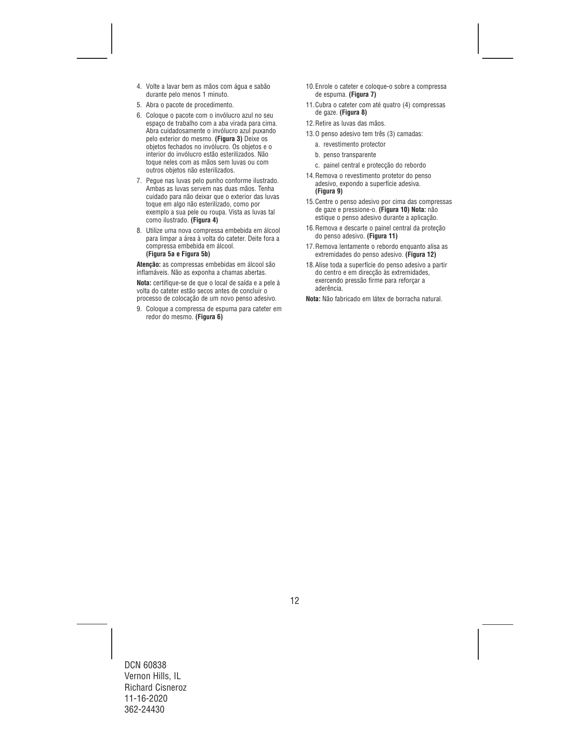- 4. Volte a lavar bem as mãos com água e sabão durante pelo menos 1 minuto.
- 5. Abra o pacote de procedimento.
- 6. Coloque o pacote com o invólucro azul no seu espaço de trabalho com a aba virada para cima. Abra cuidadosamente o invólucro azul puxando pelo exterior do mesmo. **(Figura 3)** Deixe os objetos fechados no invólucro. Os objetos e o interior do invólucro estão esterilizados. Não toque neles com as mãos sem luvas ou com outros objetos não esterilizados.
- 7. Pegue nas luvas pelo punho conforme ilustrado. Ambas as luvas servem nas duas mãos. Tenha cuidado para não deixar que o exterior das luvas toque em algo não esterilizado, como por exemplo a sua pele ou roupa. Vista as luvas tal como ilustrado. **(Figura 4)**
- 8. Utilize uma nova compressa embebida em álcool para limpar a área à volta do cateter. Deite fora a compressa embebida em álcool. **(Figura 5a e Figura 5b)**

**Atenção:** as compressas embebidas em álcool são inflamáveis. Não as exponha a chamas abertas.

**Nota:** certifique-se de que o local de saída e a pele à volta do cateter estão secos antes de concluir o processo de colocação de um novo penso adesivo.

9. Coloque a compressa de espuma para cateter em redor do mesmo. **(Figura 6)**

- 10.Enrole o cateter e coloque-o sobre a compressa de espuma. **(Figura 7)**
- 11.Cubra o cateter com até quatro (4) compressas de gaze. **(Figura 8)**
- 12.Retire as luvas das mãos.
- 13.O penso adesivo tem três (3) camadas:
	- a. revestimento protector
	- b. penso transparente
	- c. painel central e protecção do rebordo
- 14.Remova o revestimento protetor do penso adesivo, expondo a superfície adesiva. **(Figura 9)**
- 15.Centre o penso adesivo por cima das compressas de gaze e pressione-o. **(Figura 10) Nota:** não estique o penso adesivo durante a aplicação.
- 16.Remova e descarte o painel central da proteção do penso adesivo. **(Figura 11)**
- 17.Remova lentamente o rebordo enquanto alisa as extremidades do penso adesivo. **(Figura 12)**
- 18.Alise toda a superfície do penso adesivo a partir do centro e em direcção às extremidades, exercendo pressão firme para reforçar a aderência.

**Nota:** Não fabricado em látex de borracha natural.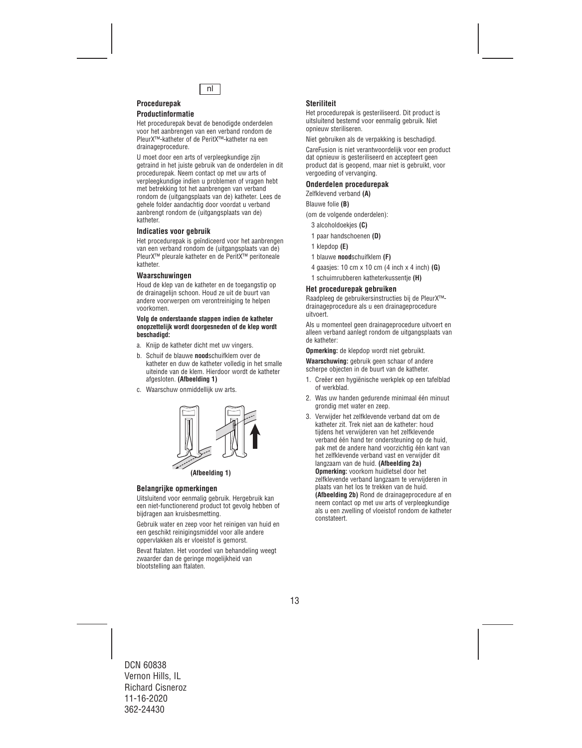

# **Procedurepak Productinformatie**

Het procedurepak bevat de benodigde onderdelen voor het aanbrengen van een verband rondom de PleurX™-katheter of de PeritX™-katheter na een drainageprocedure.

U moet door een arts of verpleegkundige zijn getraind in het juiste gebruik van de onderdelen in dit procedurepak. Neem contact op met uw arts of verpleegkundige indien u problemen of vragen hebt met betrekking tot het aanbrengen van verband rondom de (uitgangsplaats van de) katheter. Lees de gehele folder aandachtig door voordat u verband aanbrengt rondom de (uitgangsplaats van de) katheter.

# **Indicaties voor gebruik**

Het procedurepak is geïndiceerd voor het aanbrengen van een verband rondom de (uitgangsplaats van de) PleurX™ pleurale katheter en de PeritX™ peritoneale katheter.

# **Waarschuwingen**

Houd de klep van de katheter en de toegangstip op de drainagelijn schoon. Houd ze uit de buurt van andere voorwerpen om verontreiniging te helpen voorkomen.

#### **Volg de onderstaande stappen indien de katheter onopzettelijk wordt doorgesneden of de klep wordt beschadigd:**

- a. Knijp de katheter dicht met uw vingers.
- b. Schuif de blauwe **nood**schuifklem over de katheter en duw de katheter volledig in het smalle uiteinde van de klem. Hierdoor wordt de katheter afgesloten. **(Afbeelding 1)**
- c. Waarschuw onmiddellijk uw arts.



# **Belangrijke opmerkingen**

Uitsluitend voor eenmalig gebruik. Hergebruik kan een niet-functionerend product tot gevolg hebben of bijdragen aan kruisbesmetting.

Gebruik water en zeep voor het reinigen van huid en een geschikt reinigingsmiddel voor alle andere oppervlakken als er vloeistof is gemorst.

Bevat ftalaten. Het voordeel van behandeling weegt zwaarder dan de geringe mogelijkheid van blootstelling aan ftalaten.

# **Steriliteit**

Het procedurepak is gesteriliseerd. Dit product is uitsluitend bestemd voor eenmalig gebruik. Niet opnieuw steriliseren.

Niet gebruiken als de verpakking is beschadigd.

CareFusion is niet verantwoordelijk voor een product dat opnieuw is gesteriliseerd en accepteert geen product dat is geopend, maar niet is gebruikt, voor vergoeding of vervanging.

# **Onderdelen procedurepak**

Zelfklevend verband **(A)** 

Blauwe folie **(B)**

(om de volgende onderdelen):

- 3 alcoholdoekjes **(C)**
- 1 paar handschoenen **(D)**
- 1 klepdop **(E)**
- 1 blauwe **nood**schuifklem **(F)**
- 4 gaasjes: 10 cm x 10 cm (4 inch x 4 inch) **(G)**
- 1 schuimrubberen katheterkussentje **(H)**

# **Het procedurepak gebruiken**

Raadpleeg de gebruikersinstructies bij de PleurX™ drainageprocedure als u een drainageprocedure uitvoert.

Als u momenteel geen drainageprocedure uitvoert en alleen verband aanlegt rondom de uitgangsplaats van de katheter:

**Opmerking:** de klepdop wordt niet gebruikt.

**Waarschuwing:** gebruik geen schaar of andere scherpe objecten in de buurt van de katheter.

- 1. Creëer een hygiënische werkplek op een tafelblad of werkblad.
- 2. Was uw handen gedurende minimaal één minuut grondig met water en zeep.
- 3. Verwijder het zelfklevende verband dat om de katheter zit. Trek niet aan de katheter: houd tijdens het verwijderen van het zelfklevende verband één hand ter ondersteuning op de huid, pak met de andere hand voorzichtig één kant van het zelfklevende verband vast en verwijder dit langzaam van de huid. **(Afbeelding 2a) Opmerking:** voorkom huidletsel door het zelfklevende verband langzaam te verwijderen in plaats van het los te trekken van de huid. **(Afbeelding 2b)** Rond de drainageprocedure af en neem contact op met uw arts of verpleegkundige als u een zwelling of vloeistof rondom de katheter constateert.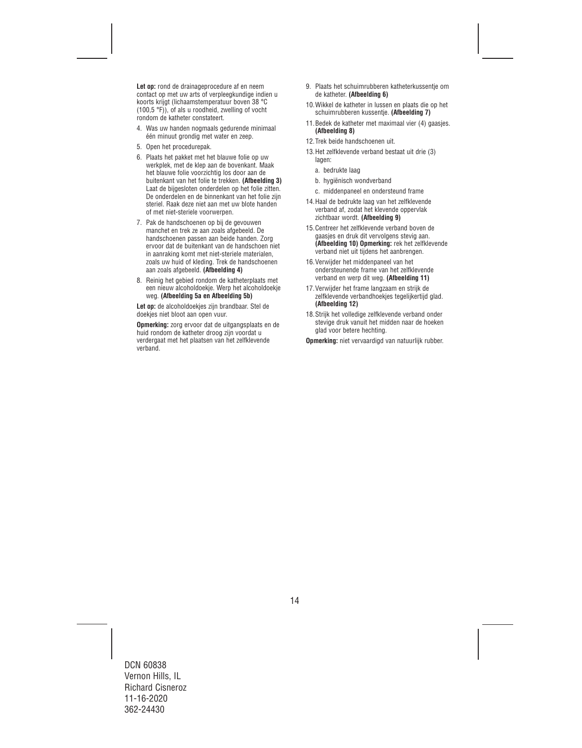**Let op:** rond de drainageprocedure af en neem contact op met uw arts of verpleegkundige indien u koorts krijgt (lichaamstemperatuur boven 38 °C (100,5 °F)), of als u roodheid, zwelling of vocht rondom de katheter constateert.

- 4. Was uw handen nogmaals gedurende minimaal één minuut grondig met water en zeep.
- 5. Open het procedurepak.
- 6. Plaats het pakket met het blauwe folie op uw werkplek, met de klep aan de bovenkant. Maak het blauwe folie voorzichtig los door aan de buitenkant van het folie te trekken. **(Afbeelding 3)**  Laat de bijgesloten onderdelen op het folie zitten. De onderdelen en de binnenkant van het folie zijn steriel. Raak deze niet aan met uw blote handen of met niet-steriele voorwerpen.
- 7. Pak de handschoenen op bij de gevouwen manchet en trek ze aan zoals afgebeeld. De handschoenen passen aan beide handen. Zorg ervoor dat de buitenkant van de handschoen niet in aanraking komt met niet-steriele materialen, zoals uw huid of kleding. Trek de handschoenen aan zoals afgebeeld. **(Afbeelding 4)**
- 8. Reinig het gebied rondom de katheterplaats met een nieuw alcoholdoekje. Werp het alcoholdoekje weg. **(Afbeelding 5a en Afbeelding 5b)**

**Let op:** de alcoholdoekjes zijn brandbaar. Stel de doekjes niet bloot aan open vuur.

**Opmerking:** zorg ervoor dat de uitgangsplaats en de huid rondom de katheter droog zijn voordat u verdergaat met het plaatsen van het zelfklevende verband.

- 9. Plaats het schuimrubberen katheterkussentje om de katheter. **(Afbeelding 6)**
- 10.Wikkel de katheter in lussen en plaats die op het schuimrubberen kussentje. **(Afbeelding 7)**
- 11.Bedek de katheter met maximaal vier (4) gaasjes. **(Afbeelding 8)**
- 12.Trek beide handschoenen uit.
- 13.Het zelfklevende verband bestaat uit drie (3) lagen:
	- a. bedrukte laag
	- b. hygiënisch wondverband
	- c. middenpaneel en ondersteund frame
- 14.Haal de bedrukte laag van het zelfklevende verband af, zodat het klevende oppervlak zichtbaar wordt. **(Afbeelding 9)**
- 15.Centreer het zelfklevende verband boven de gaasjes en druk dit vervolgens stevig aan. **(Afbeelding 10) Opmerking:** rek het zelfklevende verband niet uit tijdens het aanbrengen.
- 16.Verwijder het middenpaneel van het ondersteunende frame van het zelfklevende verband en werp dit weg. **(Afbeelding 11)**
- 17.Verwijder het frame langzaam en strijk de zelfklevende verbandhoekjes tegelijkertijd glad. **(Afbeelding 12)**
- 18.Strijk het volledige zelfklevende verband onder stevige druk vanuit het midden naar de hoeken glad voor betere hechting.

**Opmerking:** niet vervaardigd van natuurlijk rubber.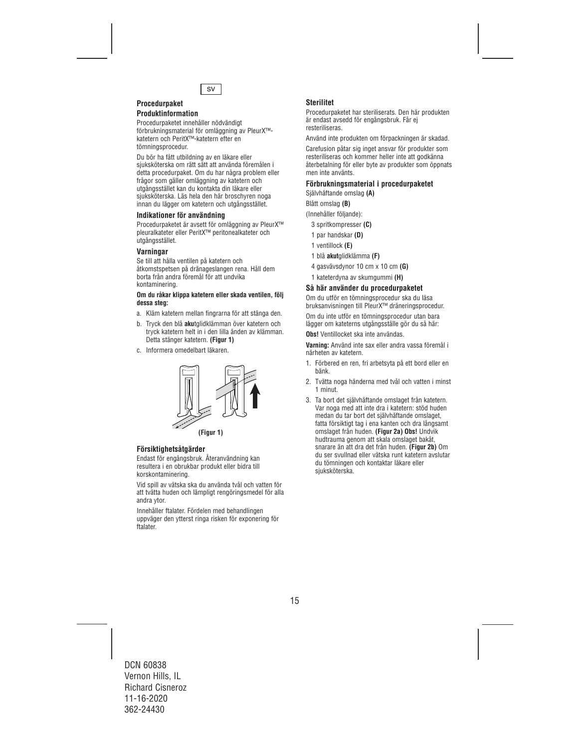

#### **Procedurpaket Produktinformation**

Procedurpaketet innehåller nödvändigt förbrukningsmaterial för omläggning av PleurX™ katetern och PeritX™-katetern efter en tömningsprocedur.

Du bör ha fått utbildning av en läkare eller sjuksköterska om rätt sätt att använda föremålen i detta procedurpaket. Om du har några problem eller frågor som gäller omläggning av katetern och utgångsstället kan du kontakta din läkare eller sjuksköterska. Läs hela den här broschyren noga innan du lägger om katetern och utgångsstället.

# **Indikationer för användning**

Procedurpaketet är avsett för omläggning av PleurX™ pleuralkateter eller PeritX™ peritonealkateter och utgångsstället.

# **Varningar**

Se till att hålla ventilen på katetern och åtkomstspetsen på dränageslangen rena. Håll dem borta från andra föremål för att undvika kontaminering.

#### **Om du råkar klippa katetern eller skada ventilen, följ dessa steg:**

- a. Kläm katetern mellan fingrarna för att stänga den.
- b. Tryck den blå **aku**tglidklämman över katetern och tryck katetern helt in i den lilla änden av klämman. Detta stänger katetern. **(Figur 1)**
- c. Informera omedelbart läkaren.



# **Försiktighetsåtgärder**

Endast för engångsbruk. Återanvändning kan resultera i en obrukbar produkt eller bidra till korskontaminering.

Vid spill av vätska ska du använda tvål och vatten för att tvätta huden och lämpligt rengöringsmedel för alla andra ytor.

Innehåller ftalater. Fördelen med behandlingen uppväger den ytterst ringa risken för exponering för ftalater.

# **Sterilitet**

Procedurpaketet har steriliserats. Den här produkten är endast avsedd för engångsbruk. Får ej resteriliseras.

Använd inte produkten om förpackningen är skadad.

Carefusion påtar sig inget ansvar för produkter som resteriliseras och kommer heller inte att godkänna återbetalning för eller byte av produkter som öppnats men inte använts.

# **Förbrukningsmaterial i procedurpaketet**

Självhäftande omslag **(A)** 

Blått omslag **(B)**

(Innehåller följande):

- 3 spritkompresser **(C)**
- 1 par handskar **(D)**
- 1 ventillock **(E)**
- 1 blå **akut**glidklämma **(F)**
- 4 gasvävsdynor 10 cm x 10 cm **(G)**
- 1 kateterdyna av skumgummi **(H)**

# **Så här använder du procedurpaketet**

Om du utför en tömningsprocedur ska du läsa bruksanvisningen till PleurX™ dräneringsprocedur.

Om du inte utför en tömningsprocedur utan bara lägger om kateterns utgångsställe gör du så här:

**Obs!** Ventillocket ska inte användas.

**Varning:** Använd inte sax eller andra vassa föremål i närheten av katetern.

- 1. Förbered en ren, fri arbetsyta på ett bord eller en bänk.
- 2. Tvätta noga händerna med tvål och vatten i minst 1 minut.
- 3. Ta bort det självhäftande omslaget från katetern. Var noga med att inte dra i katetern: stöd huden medan du tar bort det självhäftande omslaget, fatta försiktigt tag i ena kanten och dra långsamt omslaget från huden. **(Figur 2a) Obs!** Undvik hudtrauma genom att skala omslaget bakåt, snarare än att dra det från huden. **(Figur 2b)** Om du ser svullnad eller vätska runt katetern avslutar du tömningen och kontaktar läkare eller sjuksköterska.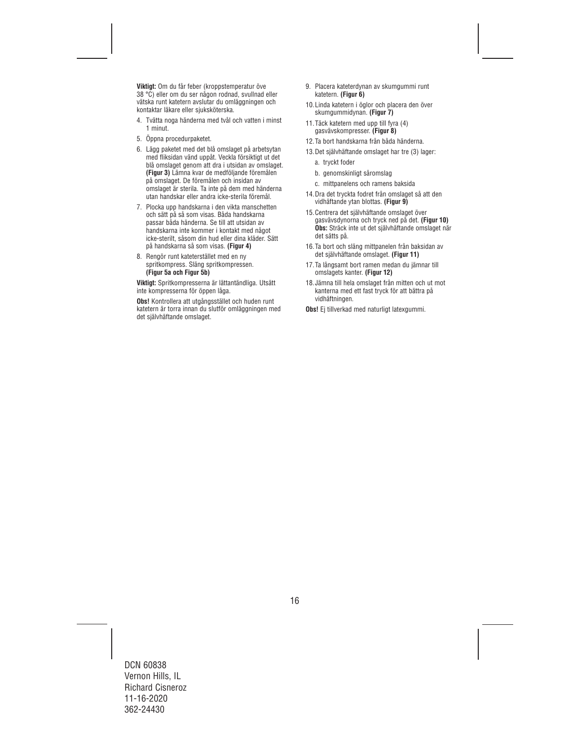**Viktigt:** Om du får feber (kroppstemperatur öve 38 °C) eller om du ser någon rodnad, svullnad eller vätska runt katetern avslutar du omläggningen och kontaktar läkare eller sjuksköterska.

- 4. Tvätta noga händerna med tvål och vatten i minst 1 minut.
- 5. Öppna procedurpaketet.
- 6. Lägg paketet med det blå omslaget på arbetsytan med fliksidan vänd uppåt. Veckla försiktigt ut det blå omslaget genom att dra i utsidan av omslaget. **(Figur 3)** Lämna kvar de medföljande föremålen på omslaget. De föremålen och insidan av omslaget är sterila. Ta inte på dem med händerna utan handskar eller andra icke-sterila föremål.
- 7. Plocka upp handskarna i den vikta manschetten och sätt på så som visas. Båda handskarna passar båda händerna. Se till att utsidan av handskarna inte kommer i kontakt med något icke-sterilt, såsom din hud eller dina kläder. Sätt på handskarna så som visas. **(Figur 4)**
- 8. Rengör runt kateterstället med en ny spritkompress. Släng spritkompressen. **(Figur 5a och Figur 5b)**

**Viktigt:** Spritkompresserna är lättantändliga. Utsätt inte kompresserna för öppen låga.

**Obs!** Kontrollera att utgångsstället och huden runt katetern är torra innan du slutför omläggningen med det självhäftande omslaget.

- 9. Placera kateterdynan av skumgummi runt katetern. **(Figur 6)**
- 10.Linda katetern i öglor och placera den över skumgummidynan. **(Figur 7)**
- 11.Täck katetern med upp till fyra (4) gasvävskompresser. **(Figur 8)**
- 12.Ta bort handskarna från båda händerna.
- 13.Det självhäftande omslaget har tre (3) lager:
	- a. tryckt foder
	- b. genomskinligt såromslag
	- c. mittpanelens och ramens baksida
- 14.Dra det tryckta fodret från omslaget så att den vidhäftande ytan blottas. **(Figur 9)**
- 15.Centrera det självhäftande omslaget över gasvävsdynorna och tryck ned på det. **(Figur 10) Obs:** Sträck inte ut det självhäftande omslaget när det sätts på.
- 16.Ta bort och släng mittpanelen från baksidan av det självhäftande omslaget. **(Figur 11)**
- 17.Ta långsamt bort ramen medan du jämnar till omslagets kanter. **(Figur 12)**
- 18.Jämna till hela omslaget från mitten och ut mot kanterna med ett fast tryck för att bättra på vidhäftningen.
- **Obs!** Ei tillverkad med naturligt latexgummi.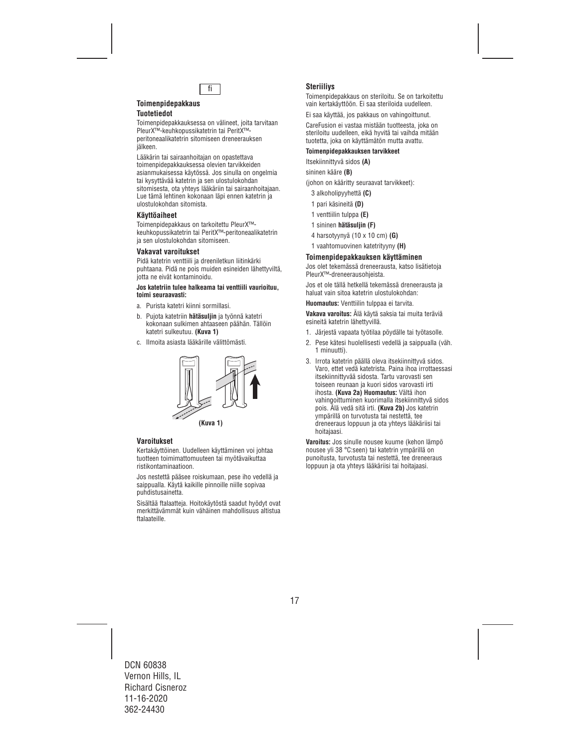

# **Toimenpidepakkaus Tuotetiedot**

Toimenpidepakkauksessa on välineet, joita tarvitaan PleurX™-keuhkopussikatetrin tai PeritX™ peritoneaalikatetrin sitomiseen dreneerauksen jälkeen.

Lääkärin tai sairaanhoitajan on opastettava toimenpidepakkauksessa olevien tarvikkeiden asianmukaisessa käytössä. Jos sinulla on ongelmia tai kysyttävää katetrin ja sen ulostulokohdan sitomisesta, ota yhteys lääkäriin tai sairaanhoitajaan. Lue tämä lehtinen kokonaan läpi ennen katetrin ja ulostulokohdan sitomista.

# **Käyttöaiheet**

Toimenpidepakkaus on tarkoitettu PleurX™ keuhkopussikatetrin tai PeritX™-peritoneaalikatetrin ja sen ulostulokohdan sitomiseen.

# **Vakavat varoitukset**

Pidä katetrin venttiili ja dreeniletkun liitinkärki puhtaana. Pidä ne pois muiden esineiden lähettyviltä, jotta ne eivät kontaminoidu.

#### **Jos katetriin tulee halkeama tai venttiili vaurioituu, toimi seuraavasti:**

- a. Purista katetri kiinni sormillasi.
- b. Pujota katetriin **hätäsuljin** ja työnnä katetri kokonaan sulkimen ahtaaseen päähän. Tällöin katetri sulkeutuu. **(Kuva 1)**
- c. Ilmoita asiasta lääkärille välittömästi.



# **Varoitukset**

Kertakäyttöinen. Uudelleen käyttäminen voi johtaa tuotteen toimimattomuuteen tai myötävaikuttaa ristikontaminaatioon.

Jos nestettä pääsee roiskumaan, pese iho vedellä ja saippualla. Käytä kaikille pinnoille niille sopivaa puhdistusainetta.

Sisältää ftalaatteja. Hoitokäytöstä saadut hyödyt ovat merkittävämmät kuin vähäinen mahdollisuus altistua ftalaateille.

# **Steriiliys**

Toimenpidepakkaus on steriloitu. Se on tarkoitettu vain kertakäyttöön. Ei saa steriloida uudelleen.

Ei saa käyttää, jos pakkaus on vahingoittunut.

CareFusion ei vastaa mistään tuotteesta, joka on steriloitu uudelleen, eikä hyvitä tai vaihda mitään tuotetta, joka on käyttämätön mutta avattu.

# **Toimenpidepakkauksen tarvikkeet**

Itsekiinnittyvä sidos **(A)** 

sininen kääre **(B)**

(johon on kääritty seuraavat tarvikkeet):

- 3 alkoholipyyhettä **(C)**
- 1 pari käsineitä **(D)**
- 1 venttiilin tulppa **(E)**
- 1 sininen **hätäsuljin (F)**
- 4 harsotyynyä (10 x 10 cm) **(G)**
- 1 vaahtomuovinen katetrityyny **(H)**

### **Toimenpidepakkauksen käyttäminen**

Jos olet tekemässä dreneerausta, katso lisätietoja PleurX™-dreneerausohjeista.

Jos et ole tällä hetkellä tekemässä dreneerausta ja haluat vain sitoa katetrin ulostulokohdan:

**Huomautus:** Venttiilin tulppaa ei tarvita.

**Vakava varoitus:** Älä käytä saksia tai muita teräviä esineitä katetrin lähettyvillä.

- 1. Järjestä vapaata työtilaa pöydälle tai työtasolle.
- 2. Pese kätesi huolellisesti vedellä ja saippualla (väh. 1 minuutti).
- 3. Irrota katetrin päällä oleva itsekiinnittyvä sidos. Varo, ettet vedä katetrista. Paina ihoa irrottaessasi itsekiinnittyvää sidosta. Tartu varovasti sen toiseen reunaan ja kuori sidos varovasti irti ihosta. **(Kuva 2a) Huomautus:** Vältä ihon vahingoittuminen kuorimalla itsekiinnittyvä sidos pois. Älä vedä sitä irti. **(Kuva 2b)** Jos katetrin ympärillä on turvotusta tai nestettä, tee dreneeraus loppuun ja ota yhteys lääkäriisi tai hoitajaasi.

**Varoitus:** Jos sinulle nousee kuume (kehon lämpö nousee yli 38 °C:seen) tai katetrin ympärillä on punoitusta, turvotusta tai nestettä, tee dreneeraus loppuun ja ota yhteys lääkäriisi tai hoitajaasi.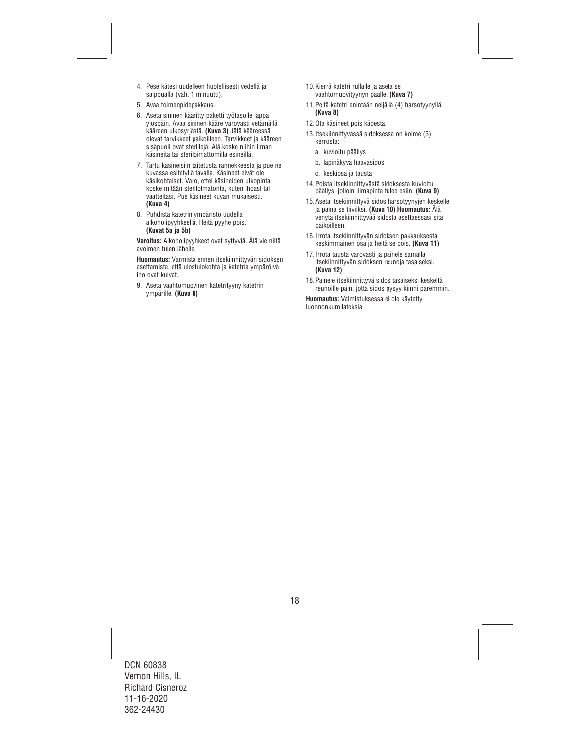- 4. Pese kätesi uudelleen huolellisesti vedellä ja saippualla (väh. 1 minuutti).
- 5. Avaa toimenpidepakkaus.
- 6. Aseta sininen kääritty paketti työtasolle läppä ylöspäin. Avaa sininen kääre varovasti vetämällä kääreen ulkosyrjästä. **(Kuva 3)** Jätä kääreessä olevat tarvikkeet paikoilleen. Tarvikkeet ja kääreen sisäpuoli ovat steriilejä. Älä koske niihin ilman käsineitä tai steriloimattomilla esineillä.
- 7. Tartu käsineisiin taitetusta rannekkeesta ja pue ne kuvassa esitetyllä tavalla. Käsineet eivät ole käsikohtaiset. Varo, ettei käsineiden ulkopinta koske mitään steriloimatonta, kuten ihoasi tai vaatteitasi. Pue käsineet kuvan mukaisesti. **(Kuva 4)**
- 8. Puhdista katetrin ympäristö uudella alkoholipyyhkeellä. Heitä pyyhe pois. **(Kuvat 5a ja 5b)**

**Varoitus:** Alkoholipyyhkeet ovat syttyviä. Älä vie niitä avoimen tulen lähelle.

**Huomautus:** Varmista ennen itsekiinnittyvän sidoksen asettamista, että ulostulokohta ja katetria ympäröivä iho ovat kuivat.

9. Aseta vaahtomuovinen katetrityyny katetrin ympärille. **(Kuva 6)**

- 10.Kierrä katetri rullalle ja aseta se vaahtomuovityynyn päälle. **(Kuva 7)**
- 11.Peitä katetri enintään neljällä (4) harsotyynyllä. **(Kuva 8)**
- 12.Ota käsineet pois kädestä.
- 13.Itsekiinnittyvässä sidoksessa on kolme (3) kerrosta:
	- a. kuvioitu päällys
	- b. läpinäkyvä haavasidos
	- c. keskiosa ja tausta
- 14.Poista itsekiinnittyvästä sidoksesta kuvioitu päällys, jolloin liimapinta tulee esiin. **(Kuva 9)**
- 15.Aseta itsekiinnittyvä sidos harsotyynyjen keskelle ja paina se tiiviiksi. **(Kuva 10) Huomautus:** Älä venytä itsekiinnittyvää sidosta asettaessasi sitä paikoilleen.
- 16.Irrota itsekiinnittyvän sidoksen pakkauksesta keskimmäinen osa ja heitä se pois. **(Kuva 11)**
- 17.Irrota tausta varovasti ja painele samalla itsekiinnittyvän sidoksen reunoja tasaiseksi. **(Kuva 12)**
- 18.Painele itsekiinnittyvä sidos tasaiseksi keskeltä reunoille päin, jotta sidos pysyy kiinni paremmin.

**Huomautus:** Valmistuksessa ei ole käytetty luonnonkumilateksia.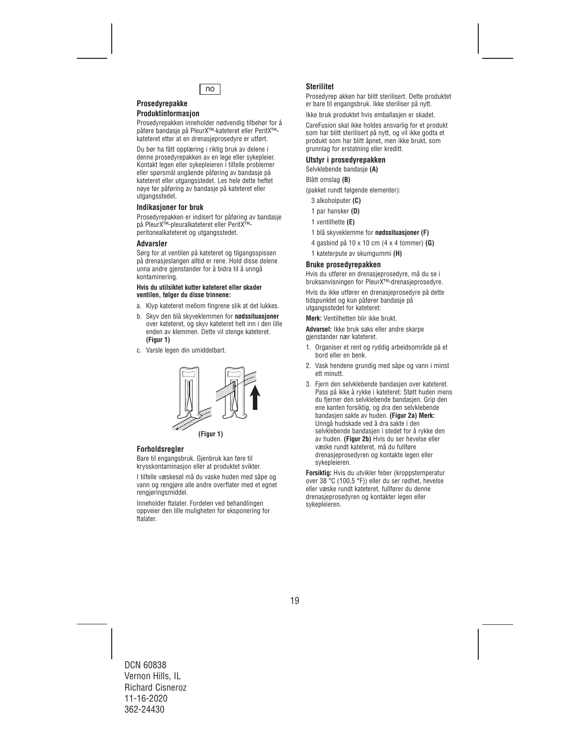

# **Prosedyrepakke**

# **Produktinformasjon**

Prosedyrepakken inneholder nødvendig tilbehør for å påføre bandasje på PleurX™-kateteret eller PeritX™ kateteret etter at en drenasjeprosedyre er utført.

Du bør ha fått opplæring i riktig bruk av delene i denne prosedyrepakken av en lege eller sykepleier. Kontakt legen eller sykepleieren i tilfelle problemer eller spørsmål angående påføring av bandasje på kateteret eller utgangsstedet. Les hele dette heftet nøye før påføring av bandasje på kateteret eller utgangsstedet.

# **Indikasjoner for bruk**

Prosedyrepakken er indisert for påføring av bandasje på PleurX™-pleuralkateteret eller PeritX™ peritonealkateteret og utgangsstedet.

### **Advarsler**

Sørg for at ventilen på kateteret og tilgangsspissen på drenasjeslangen alltid er rene. Hold disse delene unna andre gjenstander for å bidra til å unngå kontaminering.

#### **Hvis du utilsiktet kutter kateteret eller skader ventilen, følger du disse trinnene:**

- a. Klyp kateteret mellom fingrene slik at det lukkes.
- b. Skyv den blå skyveklemmen for **nødssituasjoner** over kateteret, og skyv kateteret helt inn i den lille enden av klemmen. Dette vil stenge kateteret. **(Figur 1)**
- c. Varsle legen din umiddelbart.



# **Forholdsregler**

Bare til engangsbruk. Gjenbruk kan føre til krysskontaminasjon eller at produktet svikter.

I tilfelle væskesøl må du vaske huden med såpe og vann og rengjøre alle andre overflater med et egnet rengjøringsmiddel.

Inneholder ftalater. Fordelen ved behandlingen oppveier den lille muligheten for eksponering for ftalater.

# **Sterilitet**

Prosedyrep akken har blitt sterilisert. Dette produktet er bare til engangsbruk. Ikke steriliser på nytt.

Ikke bruk produktet hvis emballasjen er skadet.

CareFusion skal ikke holdes ansvarlig for et produkt som har blitt sterilisert på nytt, og vil ikke godta et produkt som har blitt åpnet, men ikke brukt, som grunnlag for erstatning eller kreditt.

### **Utstyr i prosedyrepakken**

Selvklebende bandasje **(A)** 

Blått omslag **(B)**

(pakket rundt følgende elementer):

- 3 alkoholputer **(C)**
- 1 par hansker **(D)**
- 1 ventilhette **(E)**
- 1 blå skyveklemme for **nødssituasjoner (F)**
- 4 gasbind på 10 x 10 cm (4 x 4 tommer) **(G)**
- 1 kateterpute av skumgummi **(H)**

### **Bruke prosedyrepakken**

Hvis du utfører en drenasjeprosedyre, må du se i bruksanvisningen for PleurX™-drenasjeprosedyre.

Hvis du ikke utfører en drenasjeprosedyre på dette tidspunktet og kun påfører bandasje på utgangsstedet for kateteret:

**Merk:** Ventilhetten blir ikke brukt.

**Advarsel:** Ikke bruk saks eller andre skarpe gjenstander nær kateteret.

- 1. Organiser et rent og ryddig arbeidsområde på et bord eller en benk.
- 2. Vask hendene grundig med såpe og vann i minst ett minutt.
- 3. Fjern den selvklebende bandasjen over kateteret. Pass på ikke å rykke i kateteret: Støtt huden mens du fjerner den selvklebende bandasjen. Grip den ene kanten forsiktig, og dra den selvklebende bandasjen sakte av huden. **(Figur 2a) Merk:** Unngå hudskade ved å dra sakte i den selvklebende bandasjen i stedet for å rykke den av huden. **(Figur 2b)** Hvis du ser hevelse eller væske rundt kateteret, må du fullføre drenasjeprosedyren og kontakte legen eller sykepleieren.

**Forsiktig:** Hvis du utvikler feber (kroppstemperatur over 38 °C (100,5 °F)) eller du ser rødhet, hevelse eller væske rundt kateteret, fullfører du denne drenasjeprosedyren og kontakter legen eller sykepleieren.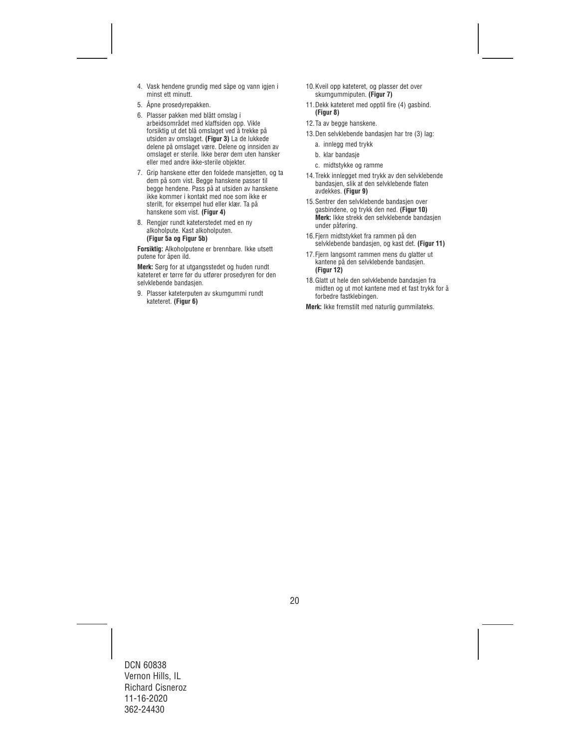- 4. Vask hendene grundig med såpe og vann igjen i minst ett minutt.
- 5. Åpne prosedyrepakken.
- 6. Plasser pakken med blått omslag i arbeidsområdet med klaffsiden opp. Vikle forsiktig ut det blå omslaget ved å trekke på utsiden av omslaget. **(Figur 3)** La de lukkede delene på omslaget være. Delene og innsiden av omslaget er sterile. Ikke berør dem uten hansker eller med andre ikke-sterile objekter.
- 7. Grip hanskene etter den foldede mansjetten, og ta dem på som vist. Begge hanskene passer til begge hendene. Pass på at utsiden av hanskene ikke kommer i kontakt med noe som ikke er sterilt, for eksempel hud eller klær. Ta på hanskene som vist. **(Figur 4)**
- 8. Rengjør rundt kateterstedet med en ny alkoholpute. Kast alkoholputen. **(Figur 5a og Figur 5b)**

**Forsiktig:** Alkoholputene er brennbare. Ikke utsett putene for åpen ild.

**Merk:** Sørg for at utgangsstedet og huden rundt kateteret er tørre før du utfører prosedyren for den selvklebende bandasjen.

9. Plasser kateterputen av skumgummi rundt kateteret. **(Figur 6)**

- 10.Kveil opp kateteret, og plasser det over skumgummiputen. **(Figur 7)**
- 11.Dekk kateteret med opptil fire (4) gasbind. **(Figur 8)**
- 12.Ta av begge hanskene.
- 13.Den selvklebende bandasjen har tre (3) lag:
	- a. innlegg med trykk
	- b. klar bandasje
	- c. midtstykke og ramme
- 14.Trekk innlegget med trykk av den selvklebende bandasjen, slik at den selvklebende flaten avdekkes. **(Figur 9)**
- 15.Sentrer den selvklebende bandasjen over gasbindene, og trykk den ned. **(Figur 10) Merk:** Ikke strekk den selvklebende bandasjen under påføring.
- 16.Fjern midtstykket fra rammen på den selvklebende bandasjen, og kast det. **(Figur 11)**
- 17. Fiern langsomt rammen mens du glatter ut kantene på den selvklebende bandasjen. **(Figur 12)**
- 18.Glatt ut hele den selvklebende bandasjen fra midten og ut mot kantene med et fast trykk for å forbedre fastklebingen.

**Merk:** Ikke fremstilt med naturlig gummilateks.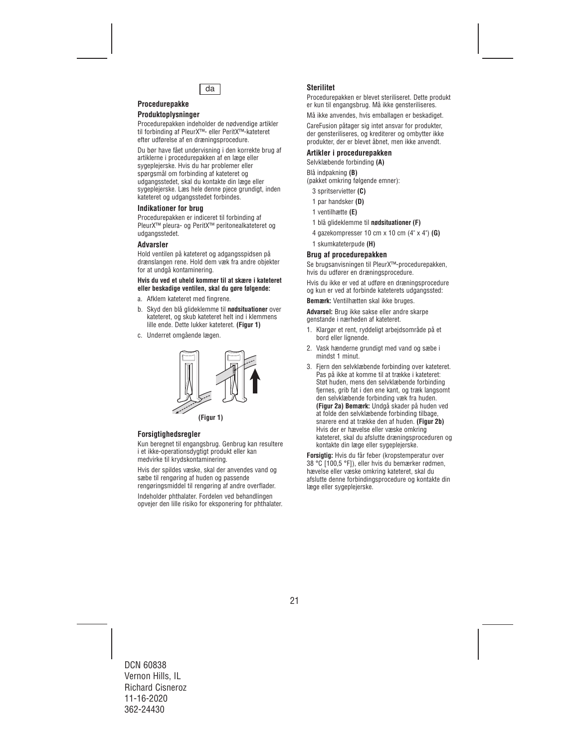

# **Procedurepakke Produktoplysninger**

Procedurepakken indeholder de nødvendige artikler til forbinding af PleurX™- eller PeritX™-kateteret efter udførelse af en dræningsprocedure.

Du bør have fået undervisning i den korrekte brug af artiklerne i procedurepakken af en læge eller sygeplejerske. Hvis du har problemer eller spørgsmål om forbinding af kateteret og udgangsstedet, skal du kontakte din læge eller sygeplejerske. Læs hele denne pjece grundigt, inden kateteret og udgangsstedet forbindes.

#### **Indikationer for brug**

Procedurepakken er indiceret til forbinding af PleurX™ pleura- og PeritX™ peritonealkateteret og udgangsstedet.

#### **Advarsler**

Hold ventilen på kateteret og adgangsspidsen på drænslangen rene. Hold dem væk fra andre objekter for at undgå kontaminering.

#### **Hvis du ved et uheld kommer til at skære i kateteret eller beskadige ventilen, skal du gøre følgende:**

- a. Afklem kateteret med fingrene.
- b. Skyd den blå glideklemme til **nødsituationer** over kateteret, og skub kateteret helt ind i klemmens lille ende. Dette lukker kateteret. **(Figur 1)**
- c. Underret omgående lægen.



**(Figur 1)**

# **Forsigtighedsregler**

Kun beregnet til engangsbrug. Genbrug kan resultere i et ikke-operationsdygtigt produkt eller kan medvirke til krydskontaminering.

Hvis der spildes væske, skal der anvendes vand og sæbe til rengøring af huden og passende rengøringsmiddel til rengøring af andre overflader.

Indeholder phthalater. Fordelen ved behandlingen opvejer den lille risiko for eksponering for phthalater.

# **Sterilitet**

Procedurepakken er blevet steriliseret. Dette produkt er kun til engangsbrug. Må ikke gensteriliseres.

Må ikke anvendes, hvis emballagen er beskadiget.

CareFusion påtager sig intet ansvar for produkter, der gensteriliseres, og krediterer og ombytter ikke produkter, der er blevet åbnet, men ikke anvendt.

### **Artikler i procedurepakken**

Selvklæbende forbinding **(A)** 

Blå indpakning **(B)**  (pakket omkring følgende emner):

- 3 spritservietter **(C)**
- 1 par handsker **(D)**
- 1 ventilhætte **(E)**
- 1 blå glideklemme til **nødsituationer (F)**
- 4 gazekompresser 10 cm x 10 cm (4" x 4") **(G)**
- 1 skumkateterpude **(H)**

#### **Brug af procedurepakken**

Se brugsanvisningen til PleurX™-procedurepakken, hvis du udfører en dræningsprocedure.

Hvis du ikke er ved at udføre en dræningsprocedure og kun er ved at forbinde kateterets udgangssted:

**Bemærk:** Ventilhætten skal ikke bruges.

**Advarsel:** Brug ikke sakse eller andre skarpe genstande i nærheden af kateteret.

- 1. Klargør et rent, ryddeligt arbeidsområde på et bord eller lignende.
- 2. Vask hænderne grundigt med vand og sæbe i mindst 1 minut.
- 3. Fjern den selvklæbende forbinding over kateteret. Pas på ikke at komme til at trække i kateteret: Støt huden, mens den selvklæbende forbinding fiernes, grib fat i den ene kant, og træk langsomt den selvklæbende forbinding væk fra huden. **(Figur 2a) Bemærk:** Undgå skader på huden ved at folde den selvklæbende forbinding tilbage, snarere end at trække den af huden. **(Figur 2b)**  Hvis der er hævelse eller væske omkring kateteret, skal du afslutte dræningsproceduren og kontakte din læge eller sygeplejerske.

**Forsigtig:** Hvis du får feber (kropstemperatur over 38 °C [100,5 °F]), eller hvis du bemærker rødmen, hævelse eller væske omkring kateteret, skal du afslutte denne forbindingsprocedure og kontakte din læge eller sygeplejerske.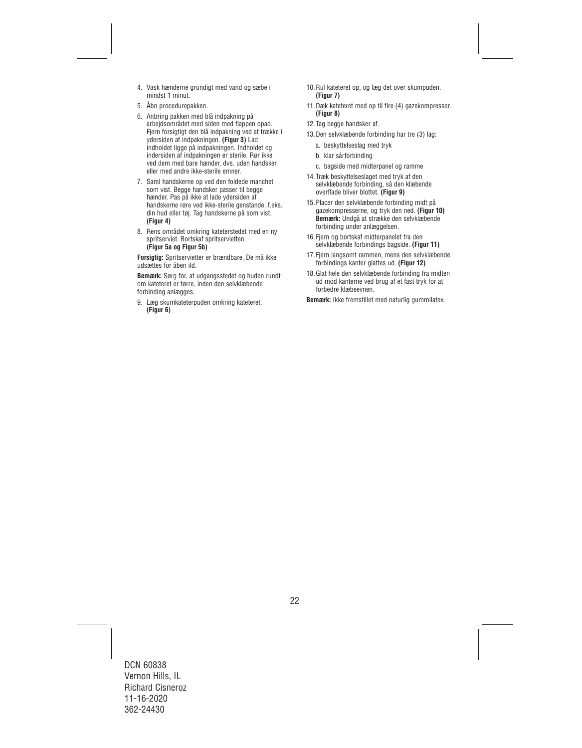- 4. Vask hænderne grundigt med vand og sæbe i mindst 1 minut.
- 5. Åbn procedurepakken.
- 6. Anbring pakken med blå indpakning på arbejdsområdet med siden med flappen opad. Fjern forsigtigt den blå indpakning ved at trække i ydersiden af indpakningen. **(Figur 3)** Lad indholdet ligge på indpakningen. Indholdet og indersiden af indpakningen er sterile. Rør ikke ved dem med bare hænder, dvs. uden handsker, eller med andre ikke-sterile emner.
- 7. Saml handskerne op ved den foldede manchet som vist. Begge handsker passer til begge hænder. Pas på ikke at lade ydersiden af handskerne røre ved ikke-sterile genstande, f.eks. din hud eller tøj. Tag handskerne på som vist. **(Figur 4)**
- 8. Rens området omkring kateterstedet med en ny spritserviet. Bortskaf spritservietten. **(Figur 5a og Figur 5b)**

**Forsigtig:** Spritservietter er brændbare. De må ikke udsættes for åben ild.

**Bemærk:** Sørg for, at udgangsstedet og huden rundt om kateteret er tørre, inden den selvklæbende forbinding anlægges.

9. Læg skumkateterpuden omkring kateteret. **(Figur 6)**

- 10.Rul kateteret op, og læg det over skumpuden. **(Figur 7)**
- 11.Dæk kateteret med op til fire (4) gazekompresser. **(Figur 8)**
- 12.Tag begge handsker af.
- 13.Den selvklæbende forbinding har tre (3) lag:
	- a. beskyttelseslag med tryk
	- b. klar sårforbinding
	- c. bagside med midterpanel og ramme
- 14.Træk beskyttelseslaget med tryk af den selvklæbende forbinding, så den klæbende overflade bliver blottet. **(Figur 9)**
- 15.Placer den selvklæbende forbinding midt på gazekompresserne, og tryk den ned. **(Figur 10) Bemærk:** Undgå at strække den selvklæbende forbinding under anlæggelsen.
- 16.Fjern og bortskaf midterpanelet fra den selvklæbende forbindings bagside. **(Figur 11)**
- 17.Fjern langsomt rammen, mens den selvklæbende forbindings kanter glattes ud. **(Figur 12)**
- 18.Glat hele den selvklæbende forbinding fra midten ud mod kanterne ved brug af et fast tryk for at forbedre klæbeevnen.

**Bemærk:** Ikke fremstillet med naturlig gummilatex.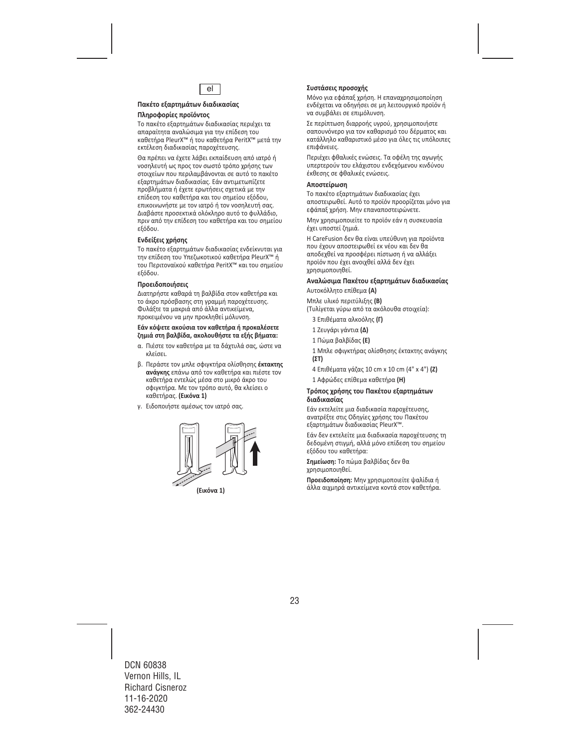

### **Πακέτο εξαρτημάτων διαδικασίας Πληροφορίες προϊόντος**

Το πακέτο εξαρτημάτων διαδικασίας περιέχει τα απαραίτητα αναλώσιμα για την επίδεση του καθετήρα PleurX™ ή του καθετήρα PeritX™ μετά την εκτέλεση διαδικασίας παροχέτευσης.

Θα πρέπει να έχετε λάβει εκπαίδευση από ιατρό ή νοσηλευτή ως προς τον σωστό τρόπο χρήσης των στοιχείων που περιλαμβάνονται σε αυτό το πακέτο εξαρτημάτων διαδικασίας. Εάν αντιμετωπίζετε προβλήματα ή έχετε ερωτήσεις σχετικά με την επίδεση του καθετήρα και του σημείου εξόδου, επικοινωνήστε με τον ιατρό ή τον νοσηλευτή σας. Διαβάστε προσεκτικά ολόκληρο αυτό το φυλλάδιο, πριν από την επίδεση του καθετήρα και του σημείου εξόδου.

### **Ενδείξεις χρήσης**

Το πακέτο εξαρτημάτων διαδικασίας ενδείκνυται για την επίδεση του Υπεζωκοτικού καθετήρα PleurX™ ή του Περιτοναϊκού καθετήρα PeritX™ και του σημείου εξόδου.

#### **Προειδοποιήσεις**

Διατηρήστε καθαρά τη βαλβίδα στον καθετήρα και το άκρο πρόσβασης στη γραμμή παροχέτευσης. Φυλάξτε τα μακριά από άλλα αντικείμενα, προκειμένου να μην προκληθεί μόλυνση.

#### **Εάν κόψετε ακούσια τον καθετήρα ή προκαλέσετε ζημιά στη βαλβίδα, ακολουθήστε τα εξής βήματα:**

- α. Πιέστε τον καθετήρα με τα δάχτυλά σας, ώστε να κλείσει.
- β. Περάστε τον μπλε σφιγκτήρα ολίσθησης **έκτακτης ανάγκης** επάνω από τον καθετήρα και πιέστε τον καθετήρα εντελώς μέσα στο μικρό άκρο του σφιγκτήρα. Με τον τρόπο αυτό, θα κλείσει ο καθετήρας. **(Εικόνα 1)**
- γ. Ειδοποιήστε αμέσως τον ιατρό σας.



**(Εικόνα 1)**

#### **Συστάσεις προσοχής**

Μόνο για εφάπαξ χρήση. Η επαναχρησιμοποίηση ενδέχεται να οδηγήσει σε μη λειτουργικό προϊόν ή να συμβάλει σε επιμόλυνση.

Σε περίπτωση διαρροής υγρού, χρησιμοποιήστε σαπουνόνερο για τον καθαρισμό του δέρματος και κατάλληλο καθαριστικό μέσο για όλες τις υπόλοιπες επιφάνειες.

Περιέχει φθαλικές ενώσεις. Τα οφέλη της αγωγής υπερτερούν του ελάχιστου ενδεχόμενου κινδύνου έκθεσης σε φθαλικές ενώσεις.

#### **Αποστείρωση**

Το πακέτο εξαρτημάτων διαδικασίας έχει αποστειρωθεί. Αυτό το προϊόν προορίζεται μόνο για εφάπαξ χρήση. Μην επαναποστειρώνετε.

Μην χρησιμοποιείτε το προϊόν εάν η συσκευασία έχει υποστεί ζημιά.

Η CareFusion δεν θα είναι υπεύθυνη για προϊόντα που έχουν αποστειρωθεί εκ νέου και δεν θα αποδεχθεί να προσφέρει πίστωση ή να αλλάξει προϊόν που έχει ανοιχθεί αλλά δεν έχει χρησιμοποιηθεί.

# **Αναλώσιμα Πακέτου εξαρτημάτων διαδικασίας**

Αυτοκόλλητο επίθεμα **(A)** 

Μπλε υλικό περιτύλιξης **(B)** 

(Τυλίγεται γύρω από τα ακόλουθα στοιχεία):

- 3 Επιθέματα αλκοόλης **(Γ)**
- 1 Ζευγάρι γάντια **(Δ)**
- 1 Πώμα βαλβίδας **(E)**

1 Μπλε σφιγκτήρας ολίσθησης έκτακτης ανάγκης **(ΣΤ)** 

- 4 Επιθέματα γάζας 10 cm x 10 cm (4" x 4") **(Ζ)**
- 1 Αφρώδες επίθεμα καθετήρα **(H)**

#### **Τρόπος χρήσης του Πακέτου εξαρτημάτων διαδικασίας**

Εάν εκτελείτε μια διαδικασία παροχέτευσης, ανατρέξτε στις Οδηγίες χρήσης του Πακέτου εξαρτημάτων διαδικασίας PleurX™.

Εάν δεν εκτελείτε μια διαδικασία παροχέτευσης τη δεδομένη στιγμή, αλλά μόνο επίδεση του σημείου εξόδου του καθετήρα:

**Σημείωση:** Το πώμα βαλβίδας δεν θα χρησιμοποιηθεί.

**Προειδοποίηση:** Μην χρησιμοποιείτε ψαλίδια ή άλλα αιχμηρά αντικείμενα κοντά στον καθετήρα.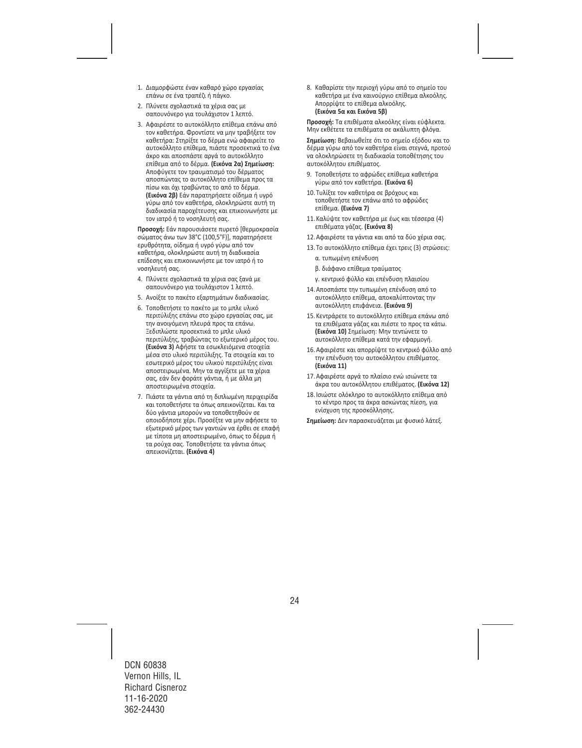- 1. Διαμορφώστε έναν καθαρό χώρο εργασίας επάνω σε ένα τραπέζι ή πάγκο.
- 2. Πλύνετε σχολαστικά τα χέρια σας με σαπουνόνερο για τουλάχιστον 1 λεπτό.
- 3. Αφαιρέστε το αυτοκόλλητο επίθεμα επάνω από τον καθετήρα. Φροντίστε να μην τραβήξετε τον καθετήρα: Στηρίξτε το δέρμα ενώ αφαιρείτε το αυτοκόλλητο επίθεμα, πιάστε προσεκτικά το ένα άκρο και αποσπάστε αργά το αυτοκόλλητο επίθεμα από το δέρμα. **(Εικόνα 2α) Σημείωση:**  Αποφύγετε τον τραυματισμό του δέρματος αποσπώντας το αυτοκόλλητο επίθεμα προς τα πίσω και όχι τραβώντας το από το δέρμα. **(Εικόνα 2β)** Εάν παρατηρήσετε οίδημα ή υγρό γύρω από τον καθετήρα, ολοκληρώστε αυτή τη διαδικασία παροχέτευσης και επικοινωνήστε με τον ιατρό ή το νοσηλευτή σας.

**Προσοχή:** Εάν παρουσιάσετε πυρετό [θερμοκρασία σώματος άνω των 38°C (100,5°F)], παρατηρήσετε ερυθρότητα, οίδημα ή υγρό γύρω από τον καθετήρα, ολοκληρώστε αυτή τη διαδικασία επίδεσης και επικοινωνήστε με τον ιατρό ή το νοσηλευτή σας.

- 4. Πλύνετε σχολαστικά τα χέρια σας ξανά με σαπουνόνερο για τουλάχιστον 1 λεπτό.
- 5. Ανοίξτε το πακέτο εξαρτημάτων διαδικασίας.
- 6. Τοποθετήστε το πακέτο με το μπλε υλικό περιτύλιξης επάνω στο χώρο εργασίας σας, με την ανοιγόμενη πλευρά προς τα επάνω. Ξεδιπλώστε προσεκτικά το μπλε υλικό περιτύλιξης, τραβώντας το εξωτερικό μέρος του. **(Εικόνα 3)** Αφήστε τα εσωκλειόμενα στοιχεία μέσα στο υλικό περιτύλιξης. Τα στοιχεία και το εσωτερικό μέρος του υλικού περιτύλιξης είναι αποστειρωμένα. Μην τα αγγίξετε με τα χέρια σας, εάν δεν φοράτε γάντια, ή με άλλα μη αποστειρωμένα στοιχεία.
- 7. Πιάστε τα γάντια από τη διπλωμένη περιχειρίδα και τοποθετήστε τα όπως απεικονίζεται. Και τα δύο γάντια μπορούν να τοποθετηθούν σε οποιοδήποτε χέρι. Προσέξτε να μην αφήσετε το εξωτερικό μέρος των γαντιών να έρθει σε επαφή με τίποτα μη αποστειρωμένο, όπως το δέρμα ή τα ρούχα σας. Τοποθετήστε τα γάντια όπως απεικονίζεται. **(Εικόνα 4)**

8. Καθαρίστε την περιοχή γύρω από το σημείο του καθετήρα με ένα καινούργιο επίθεμα αλκοόλης. Απορρίψτε το επίθεμα αλκοόλης. **(Εικόνα 5α και Εικόνα 5β)** 

**Προσοχή:** Τα επιθέματα αλκοόλης είναι εύφλεκτα. Μην εκθέτετε τα επιθέματα σε ακάλυπτη φλόγα.

**Σημείωση:** Βεβαιωθείτε ότι το σημείο εξόδου και το δέρμα γύρω από τον καθετήρα είναι στεγνά, προτού να ολοκληρώσετε τη διαδικασία τοποθέτησης του αυτοκόλλητου επιθέματος.

- 9. Τοποθετήστε το αφρώδες επίθεμα καθετήρα γύρω από τον καθετήρα. **(Εικόνα 6)**
- 10. Τυλίξτε τον καθετήρα σε βρόχους και τοποθετήστε τον επάνω από το αφρώδες επίθεμα. **(Εικόνα 7)**
- 11.Καλύψτε τον καθετήρα με έως και τέσσερα (4) επιθέματα γάζας. **(Εικόνα 8)**
- 12.Αφαιρέστε τα γάντια και από τα δύο χέρια σας.
- 13. Το αυτοκόλλητο επίθεμα έχει τρεις (3) στρώσεις:
	- α. τυπωμένη επένδυση
	- β. διάφανο επίθεμα τραύματος
	- γ. κεντρικό φύλλο και επένδυση πλαισίου
- 14.Αποσπάστε την τυπωμένη επένδυση από το αυτοκόλλητο επίθεμα, αποκαλύπτοντας την αυτοκόλλητη επιφάνεια. **(Εικόνα 9)**
- 15.Κεντράρετε το αυτοκόλλητο επίθεμα επάνω από τα επιθέματα γάζας και πιέστε το προς τα κάτω. **(Εικόνα 10)** Σημείωση: Μην τεντώνετε το αυτοκόλλητο επίθεμα κατά την εφαρμογή.
- 16.Αφαιρέστε και απορρίψτε το κεντρικό φύλλο από την επένδυση του αυτοκόλλητου επιθέματος. **(Εικόνα 11)**
- 17.Αφαιρέστε αργά το πλαίσιο ενώ ισιώνετε τα άκρα του αυτοκόλλητου επιθέματος. **(Εικόνα 12)**
- 18.Ισιώστε ολόκληρο το αυτοκόλλητο επίθεμα από το κέντρο προς τα άκρα ασκώντας πίεση, για ενίσχυση της προσκόλλησης.

**Σημείωση:** Δεν παρασκευάζεται με φυσικό λάτεξ.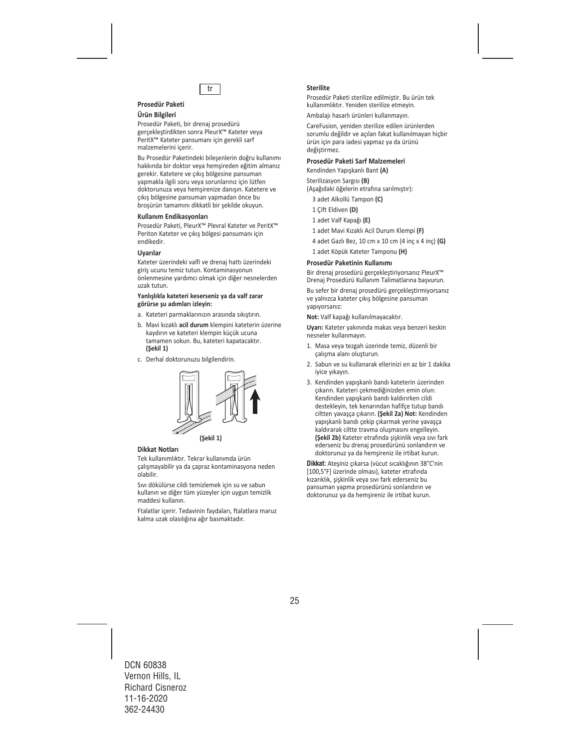

#### **Prosedür Paketi Ürün Bilgileri**

Prosedür Paketi, bir drenaj prosedürü gerçekleştirdikten sonra PleurX™ Kateter veya PeritX™ Kateter pansumanı için gerekli sarf malzemelerini içerir.

Bu Prosedür Paketindeki bileşenlerin doğru kullanımı hakkında bir doktor veya hemşireden eğitim almanız gerekir. Katetere ve çıkış bölgesine pansuman yapmakla ilgili soru veya sorunlarınız için lütfen doktorunuza veya hemşirenize danışın. Katetere ve çıkış bölgesine pansuman yapmadan önce bu broşürün tamamını dikkatli bir şekilde okuyun.

#### **Kullanım Endikasyonları**

Prosedür Paketi, PleurX™ Plevral Kateter ve PeritX™ Periton Kateter ve çıkış bölgesi pansumanı için endikedir.

#### **Uyarılar**

Kateter üzerindeki valfi ve drenaj hattı üzerindeki giriş ucunu temiz tutun. Kontaminasyonun önlenmesine yardımcı olmak için diğer nesnelerden uzak tutun.

#### **Yanlışlıkla kateteri keserseniz ya da valf zarar görürse şu adımları izleyin:**

- a. Kateteri parmaklarınızın arasında sıkıştırın.
- b. Mavi kızaklı **acil durum** klempini kateterin üzerine kaydırın ve kateteri klempin küçük ucuna tamamen sokun. Bu, kateteri kapatacaktır. **(Şekil 1)**
- c. Derhal doktorunuzu bilgilendirin.



#### **Dikkat Notları**

Tek kullanımlıktır. Tekrar kullanımda ürün çalışmayabilir ya da çapraz kontaminasyona neden olabilir.

Sıvı dökülürse cildi temizlemek için su ve sabun kullanın ve diğer tüm yüzeyler için uygun temizlik maddesi kullanın.

Ftalatlar içerir. Tedavinin faydaları, ftalatlara maruz kalma uzak olasılığına ağır basmaktadır.

#### **Sterilite**

Prosedür Paketi sterilize edilmiştir. Bu ürün tek kullanımlıktır. Yeniden sterilize etmeyin.

Ambalajı hasarlı ürünleri kullanmayın.

CareFusion, yeniden sterilize edilen ürünlerden sorumlu değildir ve açılan fakat kullanılmayan hiçbir ürün için para iadesi yapmaz ya da ürünü değistirmez.

#### **Prosedür Paketi Sarf Malzemeleri**

Kendinden Yapışkanlı Bant **(A)** 

Sterilizasyon Sargısı **(B)**  (Aşağıdaki öğelerin etrafına sarılmıştır):

- 3 adet Alkollü Tampon **(C)**
- 1 Çift Eldiven **(D)**
- 1 adet Valf Kapağı **(E)**
- 1 adet Mavi Kızaklı Acil Durum Klempi **(F)**
- 4 adet Gazlı Bez, 10 cm x 10 cm (4 inç x 4 inç) **(G)**
- 1 adet Köpük Kateter Tamponu **(H)**

#### **Prosedür Paketinin Kullanımı**

Bir drenaj prosedürü gerçekleştiriyorsanız PleurX™ Drenaj Prosedürü Kullanım Talimatlarına başvurun.

Bu sefer bir drenaj prosedürü gerçekleştirmiyorsanız ve yalnızca kateter çıkış bölgesine pansuman yapıyorsanız:

**Not:** Valf kapağı kullanılmayacaktır.

**Uyarı:** Kateter yakınında makas veya benzeri keskin nesneler kullanmayın.

- 1. Masa veya tezgah üzerinde temiz, düzenli bir çalışma alanı oluşturun.
- 2. Sabun ve su kullanarak ellerinizi en az bir 1 dakika iyice yıkayın.
- 3. Kendinden yapışkanlı bandı kateterin üzerinden çıkarın. Kateteri çekmediğinizden emin olun: Kendinden yapışkanlı bandı kaldırırken cildi destekleyin, tek kenarından hafifçe tutup bandı ciltten yavaşça çıkarın. **(Şekil 2a) Not:** Kendinden yapışkanlı bandı çekip çıkarmak yerine yavaşça kaldırarak ciltte travma oluşmasını engelleyin. **(Şekil 2b)** Kateter etrafında şişkinlik veya sıvı fark ederseniz bu drenaj prosedürünü sonlandırın ve doktorunuz ya da hemşireniz ile irtibat kurun.

**Dikkat:** Ateşiniz çıkarsa (vücut sıcaklığının 38°C'nin [100,5°F] üzerinde olması), kateter etrafında kızarıklık, şişkinlik veya sıvı fark ederseniz bu pansuman yapma prosedürünü sonlandırın ve doktorunuz ya da hemşireniz ile irtibat kurun.